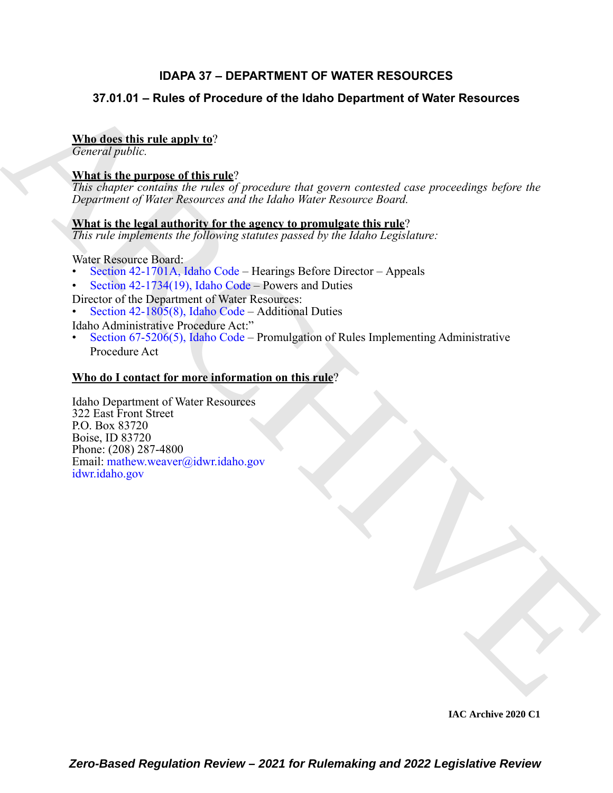# **IDAPA 37 – DEPARTMENT OF WATER RESOURCES**

# **37.01.01 – Rules of Procedure of the Idaho Department of Water Resources**

# **Who does this rule apply to**?

*General public.*

# **What is the purpose of this rule**?

*This chapter contains the rules of procedure that govern contested case proceedings before the Department of Water Resources and the Idaho Water Resource Board.*

# **What is the legal authority for the agency to promulgate this rule**?

*This rule implements the following statutes passed by the Idaho Legislature:*

Water Resource Board:

- Section 42-1701A, Idaho Code Hearings Before Director Appeals
- Section 42-1734(19), Idaho Code Powers and Duties
- Director of the Department of Water Resources:
- Section 42-1805(8), Idaho Code Additional Duties

Idaho Administrative Procedure Act:"

• Section 67-5206(5), Idaho Code – Promulgation of Rules Implementing Administrative Procedure Act

# **Who do I contact for more information on this rule**?

37.01.01 – Rules of Procedure of the Idaho Department of Water Resources<br>
Magning this rule apply to:<br>
Urband in the numeros of this rule?<br>
What is the numeros of this rule?<br>
What is the numeros of the rate of growing to Idaho Department of Water Resources 322 East Front Street P.O. Box 83720 Boise, ID 83720 Phone: (208) 287-4800 Email: mathew.weaver@idwr.idaho.gov idwr.idaho.gov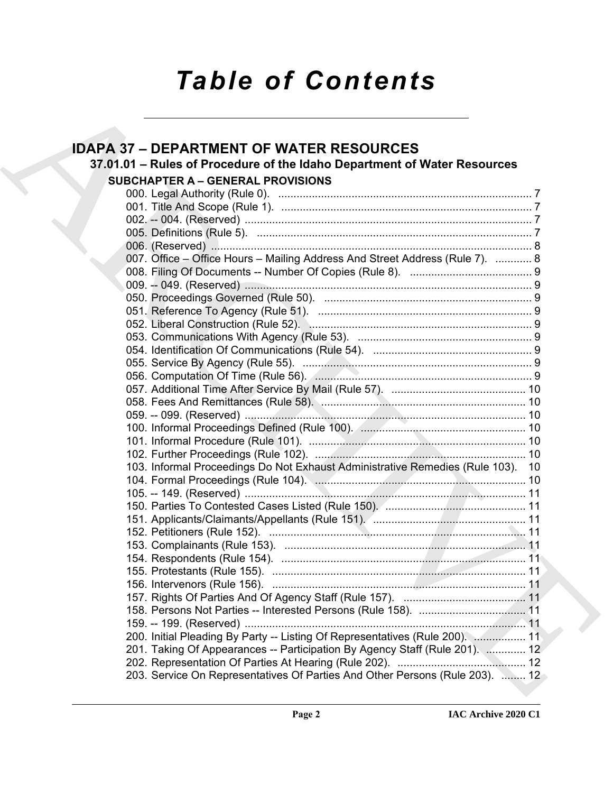# *Table of Contents*

| <b>IDAPA 37 - DEPARTMENT OF WATER RESOURCES</b>                                 |
|---------------------------------------------------------------------------------|
|                                                                                 |
| 37.01.01 - Rules of Procedure of the Idaho Department of Water Resources        |
| <b>SUBCHAPTER A - GENERAL PROVISIONS</b>                                        |
|                                                                                 |
|                                                                                 |
|                                                                                 |
|                                                                                 |
|                                                                                 |
| 007. Office - Office Hours - Mailing Address And Street Address (Rule 7).  8    |
|                                                                                 |
|                                                                                 |
|                                                                                 |
|                                                                                 |
|                                                                                 |
|                                                                                 |
|                                                                                 |
|                                                                                 |
|                                                                                 |
|                                                                                 |
|                                                                                 |
|                                                                                 |
|                                                                                 |
|                                                                                 |
|                                                                                 |
| 103. Informal Proceedings Do Not Exhaust Administrative Remedies (Rule 103). 10 |
|                                                                                 |
|                                                                                 |
|                                                                                 |
|                                                                                 |
|                                                                                 |
|                                                                                 |
|                                                                                 |
|                                                                                 |
|                                                                                 |
|                                                                                 |
|                                                                                 |
|                                                                                 |
| 200. Initial Pleading By Party -- Listing Of Representatives (Rule 200).  11    |
| 201. Taking Of Appearances -- Participation By Agency Staff (Rule 201).  12     |
| 203. Service On Representatives Of Parties And Other Persons (Rule 203).  12    |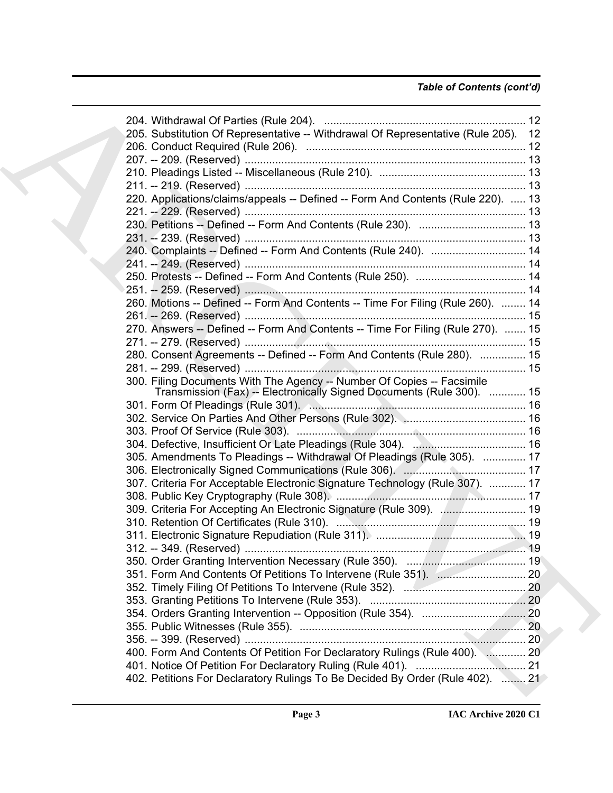# *Table of Contents (cont'd)*

| 205. Substitution Of Representative -- Withdrawal Of Representative (Rule 205). 12 |  |
|------------------------------------------------------------------------------------|--|
|                                                                                    |  |
|                                                                                    |  |
|                                                                                    |  |
|                                                                                    |  |
| 220. Applications/claims/appeals -- Defined -- Form And Contents (Rule 220).  13   |  |
|                                                                                    |  |
|                                                                                    |  |
|                                                                                    |  |
| 240. Complaints -- Defined -- Form And Contents (Rule 240).  14                    |  |
|                                                                                    |  |
|                                                                                    |  |
|                                                                                    |  |
| 260. Motions -- Defined -- Form And Contents -- Time For Filing (Rule 260).  14    |  |
|                                                                                    |  |
| 270. Answers -- Defined -- Form And Contents -- Time For Filing (Rule 270).  15    |  |
|                                                                                    |  |
| 280. Consent Agreements -- Defined -- Form And Contents (Rule 280).  15            |  |
|                                                                                    |  |
| 300. Filing Documents With The Agency -- Number Of Copies -- Facsimile             |  |
| Transmission (Fax) -- Electronically Signed Documents (Rule 300).  15              |  |
|                                                                                    |  |
|                                                                                    |  |
|                                                                                    |  |
|                                                                                    |  |
| 305. Amendments To Pleadings -- Withdrawal Of Pleadings (Rule 305).  17            |  |
|                                                                                    |  |
| 307. Criteria For Acceptable Electronic Signature Technology (Rule 307).  17       |  |
|                                                                                    |  |
| 309. Criteria For Accepting An Electronic Signature (Rule 309).  19                |  |
|                                                                                    |  |
|                                                                                    |  |
|                                                                                    |  |
|                                                                                    |  |
|                                                                                    |  |
|                                                                                    |  |
|                                                                                    |  |
|                                                                                    |  |
|                                                                                    |  |
|                                                                                    |  |
| 400. Form And Contents Of Petition For Declaratory Rulings (Rule 400).  20         |  |
|                                                                                    |  |
| 402. Petitions For Declaratory Rulings To Be Decided By Order (Rule 402).  21      |  |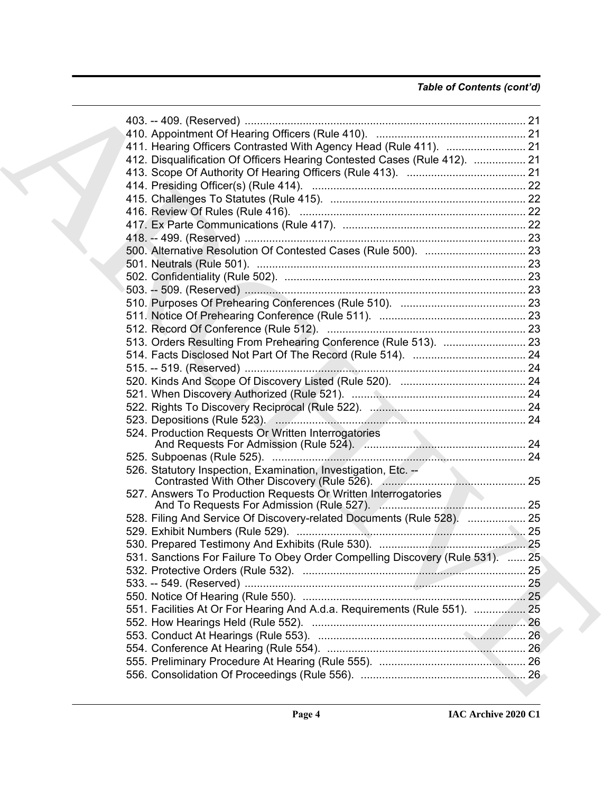# *Table of Contents (cont'd)*

| 411. Hearing Officers Contrasted With Agency Head (Rule 411).  21             |  |
|-------------------------------------------------------------------------------|--|
| 412. Disqualification Of Officers Hearing Contested Cases (Rule 412).  21     |  |
|                                                                               |  |
|                                                                               |  |
|                                                                               |  |
|                                                                               |  |
|                                                                               |  |
|                                                                               |  |
|                                                                               |  |
|                                                                               |  |
|                                                                               |  |
|                                                                               |  |
|                                                                               |  |
|                                                                               |  |
|                                                                               |  |
|                                                                               |  |
|                                                                               |  |
|                                                                               |  |
|                                                                               |  |
|                                                                               |  |
|                                                                               |  |
|                                                                               |  |
|                                                                               |  |
|                                                                               |  |
|                                                                               |  |
|                                                                               |  |
| 527. Answers To Production Requests Or Written Interrogatories                |  |
|                                                                               |  |
| 528. Filing And Service Of Discovery-related Documents (Rule 528).  25        |  |
|                                                                               |  |
|                                                                               |  |
| 531. Sanctions For Failure To Obey Order Compelling Discovery (Rule 531).  25 |  |
|                                                                               |  |
|                                                                               |  |
|                                                                               |  |
| 551. Facilities At Or For Hearing And A.d.a. Requirements (Rule 551).  25     |  |
|                                                                               |  |
|                                                                               |  |
|                                                                               |  |
|                                                                               |  |
|                                                                               |  |
|                                                                               |  |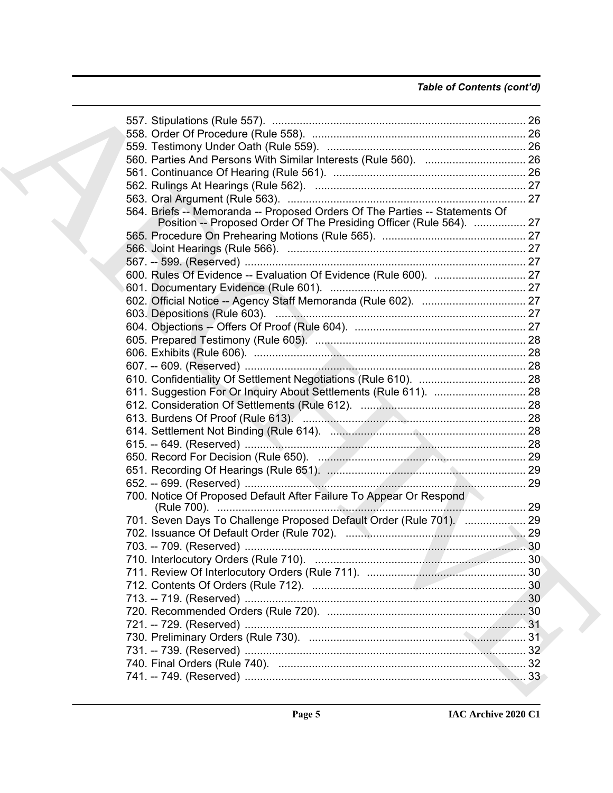| 560. Parties And Persons With Similar Interests (Rule 560).  26             |  |
|-----------------------------------------------------------------------------|--|
|                                                                             |  |
|                                                                             |  |
|                                                                             |  |
| 564. Briefs -- Memoranda -- Proposed Orders Of The Parties -- Statements Of |  |
| Position -- Proposed Order Of The Presiding Officer (Rule 564).  27         |  |
|                                                                             |  |
|                                                                             |  |
|                                                                             |  |
|                                                                             |  |
|                                                                             |  |
|                                                                             |  |
|                                                                             |  |
|                                                                             |  |
|                                                                             |  |
|                                                                             |  |
|                                                                             |  |
|                                                                             |  |
|                                                                             |  |
|                                                                             |  |
|                                                                             |  |
|                                                                             |  |
|                                                                             |  |
|                                                                             |  |
|                                                                             |  |
|                                                                             |  |
|                                                                             |  |
| 700. Notice Of Proposed Default After Failure To Appear Or Respond          |  |
|                                                                             |  |
| 701. Seven Days To Challenge Proposed Default Order (Rule 701). [  29       |  |
|                                                                             |  |
|                                                                             |  |
|                                                                             |  |
|                                                                             |  |
|                                                                             |  |
|                                                                             |  |
|                                                                             |  |
|                                                                             |  |
|                                                                             |  |
|                                                                             |  |
|                                                                             |  |
|                                                                             |  |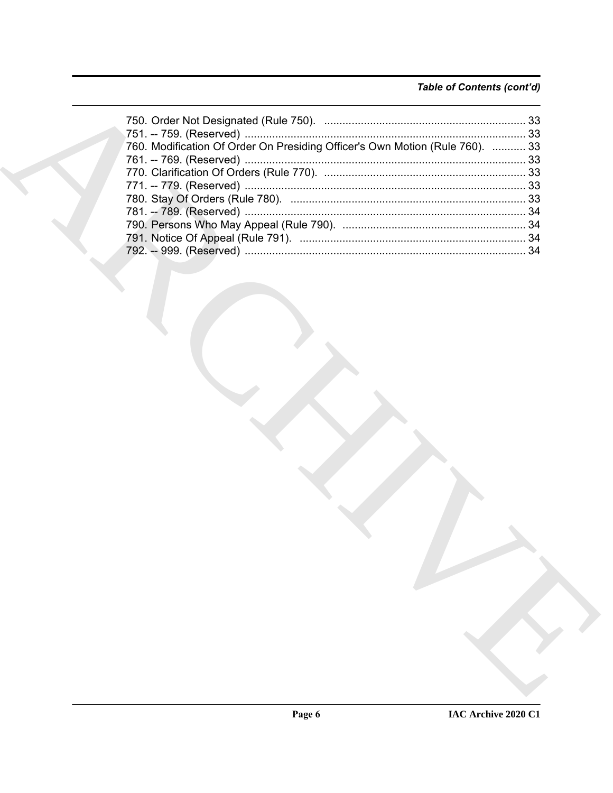# Table of Contents (cont'd)

| 760. Modification Of Order On Presiding Officer's Own Motion (Rule 760).  33 |  |
|------------------------------------------------------------------------------|--|
|                                                                              |  |
|                                                                              |  |
|                                                                              |  |
|                                                                              |  |
|                                                                              |  |
|                                                                              |  |
|                                                                              |  |
|                                                                              |  |
|                                                                              |  |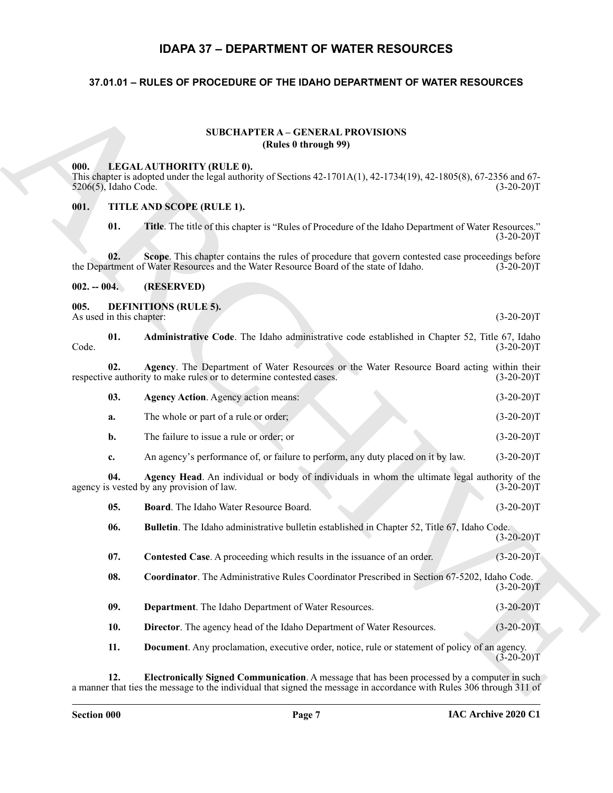# **IDAPA 37 – DEPARTMENT OF WATER RESOURCES**

# <span id="page-6-1"></span><span id="page-6-0"></span>**37.01.01 – RULES OF PROCEDURE OF THE IDAHO DEPARTMENT OF WATER RESOURCES**

#### **SUBCHAPTER A – GENERAL PROVISIONS (Rules 0 through 99)**

#### <span id="page-6-20"></span><span id="page-6-3"></span><span id="page-6-2"></span>**000. LEGAL AUTHORITY (RULE 0).**

#### <span id="page-6-21"></span><span id="page-6-4"></span>**001. TITLE AND SCOPE (RULE 1).**

# <span id="page-6-19"></span><span id="page-6-18"></span><span id="page-6-17"></span><span id="page-6-16"></span><span id="page-6-15"></span><span id="page-6-14"></span><span id="page-6-13"></span><span id="page-6-12"></span><span id="page-6-11"></span><span id="page-6-10"></span><span id="page-6-9"></span><span id="page-6-8"></span><span id="page-6-7"></span><span id="page-6-6"></span><span id="page-6-5"></span>**002. -- 004. (RESERVED)**

|                                  | <b>SUBCHAPTER A - GENERAL PROVISIONS</b><br>(Rules 0 through 99)                                                                                                                           |              |
|----------------------------------|--------------------------------------------------------------------------------------------------------------------------------------------------------------------------------------------|--------------|
| 000.<br>5206(5), Idaho Code.     | LEGAL AUTHORITY (RULE 0).<br>This chapter is adopted under the legal authority of Sections $42-1701A(1)$ , $42-1734(19)$ , $42-1805(8)$ , $67-2356$ and $67-$                              | $(3-20-20)T$ |
| 001.                             | TITLE AND SCOPE (RULE 1).                                                                                                                                                                  |              |
| 01.                              | Title. The title of this chapter is "Rules of Procedure of the Idaho Department of Water Resources."                                                                                       | $(3-20-20)T$ |
| 02.                              | Scope. This chapter contains the rules of procedure that govern contested case proceedings before<br>the Department of Water Resources and the Water Resource Board of the state of Idaho. | $(3-20-20)T$ |
| $002. - 004.$                    | (RESERVED)                                                                                                                                                                                 |              |
| 005.<br>As used in this chapter: | <b>DEFINITIONS (RULE 5).</b>                                                                                                                                                               | $(3-20-20)T$ |
| 01.<br>Code.                     | Administrative Code. The Idaho administrative code established in Chapter 52, Title 67, Idaho                                                                                              | $(3-20-20)T$ |
| 02.                              | Agency. The Department of Water Resources or the Water Resource Board acting within their<br>respective authority to make rules or to determine contested cases.                           | $(3-20-20)T$ |
| 03.                              | <b>Agency Action.</b> Agency action means:                                                                                                                                                 | $(3-20-20)T$ |
| a.                               | The whole or part of a rule or order;                                                                                                                                                      | $(3-20-20)T$ |
| b.                               | The failure to issue a rule or order; or                                                                                                                                                   | $(3-20-20)T$ |
| c.                               | An agency's performance of, or failure to perform, any duty placed on it by law.                                                                                                           | $(3-20-20)T$ |
| 04.                              | Agency Head. An individual or body of individuals in whom the ultimate legal authority of the<br>agency is vested by any provision of law.                                                 | $(3-20-20)T$ |
| 05.                              | <b>Board.</b> The Idaho Water Resource Board.                                                                                                                                              | $(3-20-20)T$ |
| 06.                              | <b>Bulletin.</b> The Idaho administrative bulletin established in Chapter 52, Title 67, Idaho Code.                                                                                        | $(3-20-20)T$ |
| 07.                              | Contested Case. A proceeding which results in the issuance of an order.                                                                                                                    | $(3-20-20)T$ |
| 08.                              | Coordinator. The Administrative Rules Coordinator Prescribed in Section 67-5202, Idaho Code.                                                                                               | $(3-20-20)T$ |
| 09.                              | Department. The Idaho Department of Water Resources.                                                                                                                                       | $(3-20-20)T$ |
|                                  | Director. The agency head of the Idaho Department of Water Resources.                                                                                                                      | $(3-20-20)T$ |
| 10.                              | <b>Document</b> . Any proclamation, executive order, notice, rule or statement of policy of an agency.                                                                                     |              |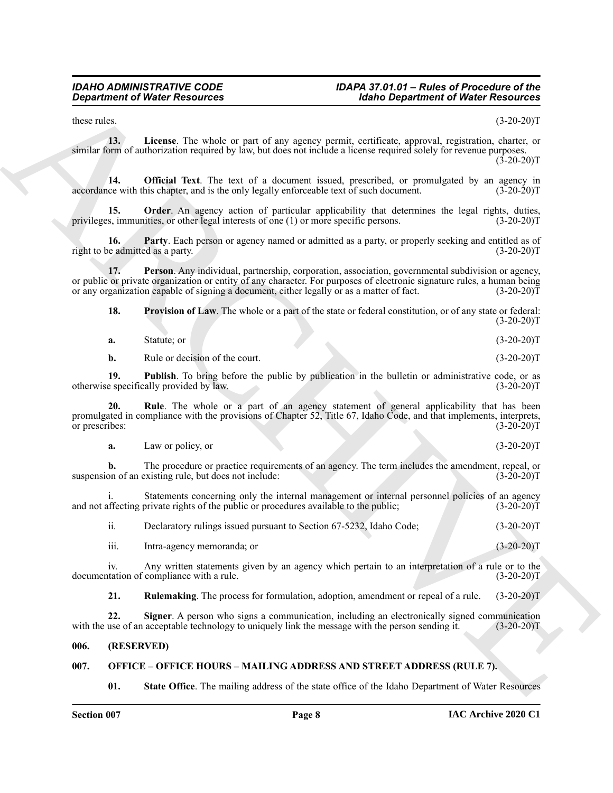<span id="page-7-2"></span>these rules.  $(3-20-20)T$ 

**13. License**. The whole or part of any agency permit, certificate, approval, registration, charter, or similar form of authorization required by law, but does not include a license required solely for revenue purposes.  $(3-20-20)$ T

<span id="page-7-3"></span>**14. Official Text**. The text of a document issued, prescribed, or promulgated by an agency in the with this chapter, and is the only legally enforceable text of such document. (3-20-20)T accordance with this chapter, and is the only legally enforceable text of such document.

<span id="page-7-4"></span>**Order**. An agency action of particular applicability that determines the legal rights, duties, or other legal interests of one (1) or more specific persons. (3-20-20)<sup>T</sup> privileges, immunities, or other legal interests of one (1) or more specific persons.

<span id="page-7-5"></span>**16. Party**. Each person or agency named or admitted as a party, or properly seeking and entitled as of right to be admitted as a party. (3-20-20)T

**17. Person**. Any individual, partnership, corporation, association, governmental subdivision or agency, or public or private organization or entity of any character. For purposes of electronic signature rules, a human being or any organization capable of signing a document, either legally or as a matter of fact.  $(3-20-20)\bar{T}$ 

<span id="page-7-7"></span><span id="page-7-6"></span>**18. Provision of Law**. The whole or a part of the state or federal constitution, or of any state or federal:  $(3-20-20)T$ 

| $(3-20-20)T$<br>Statute: or<br>a. |
|-----------------------------------|
|-----------------------------------|

<span id="page-7-9"></span><span id="page-7-8"></span>**b.** Rule or decision of the court. (3-20-20)T

**19. Publish**. To bring before the public by publication in the bulletin or administrative code, or as e specifically provided by law. (3-20-20) otherwise specifically provided by law.

**Equivariant of Water Resources** <sup>201</sup> **Holon Beyondment of Water Resources**<br>
these these the seconds of the second of the second and specific the second and the second and the second and the second and the second and pro **20.** Rule. The whole or a part of an agency statement of general applicability that has been promulgated in compliance with the provisions of Chapter 52, Title 67, Idaho Code, and that implements, interprets, or prescribes: (3-20-20)T

**a.** Law or policy, or (3-20-20)T

**b.** The procedure or practice requirements of an agency. The term includes the amendment, repeal, or on of an existing rule, but does not include: suspension of an existing rule, but does not include:

Statements concerning only the internal management or internal personnel policies of an agency<br>private rights of the public or procedures available to the public; (3-20-20) and not affecting private rights of the public or procedures available to the public;

| ii.  | Declaratory rulings issued pursuant to Section 67-5232, Idaho Code; | $(3-20-20)T$ |
|------|---------------------------------------------------------------------|--------------|
| iii. | Intra-agency memoranda; or                                          | $(3-20-20)T$ |

iv. Any written statements given by an agency which pertain to an interpretation of a rule or to the documentation of compliance with a rule. (3-20-20)T

<span id="page-7-11"></span><span id="page-7-10"></span>**21. Rulemaking**. The process for formulation, adoption, amendment or repeal of a rule. (3-20-20)T

**22. Signer**. A person who signs a communication, including an electronically signed communication use of an acceptable technology to uniquely link the message with the person sending it. (3-20-20) with the use of an acceptable technology to uniquely link the message with the person sending it.

#### <span id="page-7-0"></span>**006. (RESERVED)**

# <span id="page-7-1"></span>**007. OFFICE – OFFICE HOURS – MAILING ADDRESS AND STREET ADDRESS (RULE 7).**

<span id="page-7-12"></span>**01. State Office**. The mailing address of the state office of the Idaho Department of Water Resources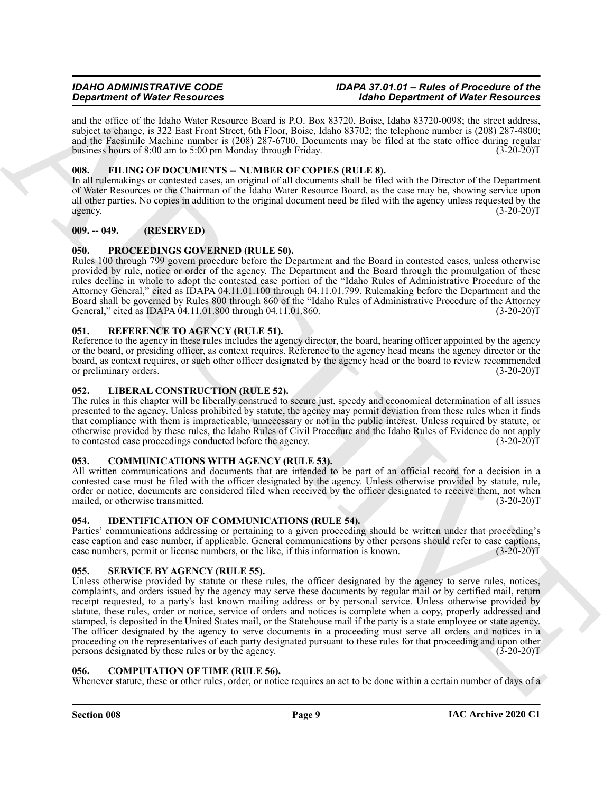and the office of the Idaho Water Resource Board is P.O. Box 83720, Boise, Idaho 83720-0098; the street address, subject to change, is 322 East Front Street, 6th Floor, Boise, Idaho 83702; the telephone number is (208) 287-4800; and the Facsimile Machine number is (208) 287-6700. Documents may be filed at the state office during regular business hours of 8:00 am to 5:00 pm Monday through Friday. (3-20-20)T

# <span id="page-8-11"></span><span id="page-8-0"></span>**008. FILING OF DOCUMENTS -- NUMBER OF COPIES (RULE 8).**

In all rulemakings or contested cases, an original of all documents shall be filed with the Director of the Department of Water Resources or the Chairman of the Idaho Water Resource Board, as the case may be, showing service upon all other parties. No copies in addition to the original document need be filed with the agency unless requested by the agency.  $(3-20-20)T$ 

# <span id="page-8-1"></span>**009. -- 049. (RESERVED)**

# <span id="page-8-14"></span><span id="page-8-2"></span>**050. PROCEEDINGS GOVERNED (RULE 50).**

Rules 100 through 799 govern procedure before the Department and the Board in contested cases, unless otherwise provided by rule, notice or order of the agency. The Department and the Board through the promulgation of these rules decline in whole to adopt the contested case portion of the "Idaho Rules of Administrative Procedure of the Attorney General," cited as IDAPA 04.11.01.100 through 04.11.01.799. Rulemaking before the Department and the Board shall be governed by Rules 800 through 860 of the "Idaho Rules of Administrative Procedure of the Attorney General," cited as IDAPA 04.11.01.800 through 04.11.01.860.

# <span id="page-8-15"></span><span id="page-8-3"></span>**051. REFERENCE TO AGENCY (RULE 51).**

Reference to the agency in these rules includes the agency director, the board, hearing officer appointed by the agency or the board, or presiding officer, as context requires. Reference to the agency head means the agency director or the board, as context requires, or such other officer designated by the agency head or the board to review recommended or preliminary orders. (3-20-20)T

# <span id="page-8-13"></span><span id="page-8-4"></span>**052. LIBERAL CONSTRUCTION (RULE 52).**

The rules in this chapter will be liberally construed to secure just, speedy and economical determination of all issues presented to the agency. Unless prohibited by statute, the agency may permit deviation from these rules when it finds that compliance with them is impracticable, unnecessary or not in the public interest. Unless required by statute, or otherwise provided by these rules, the Idaho Rules of Civil Procedure and the Idaho Rules of Evidence do not apply to contested case proceedings conducted before the agency. (3-20-20)T

# <span id="page-8-9"></span><span id="page-8-5"></span>**053. COMMUNICATIONS WITH AGENCY (RULE 53).**

All written communications and documents that are intended to be part of an official record for a decision in a contested case must be filed with the officer designated by the agency. Unless otherwise provided by statute, rule, order or notice, documents are considered filed when received by the officer designated to receive them, not when mailed, or otherwise transmitted. (3-20-20)T

# <span id="page-8-12"></span><span id="page-8-6"></span>**054. IDENTIFICATION OF COMMUNICATIONS (RULE 54).**

Parties' communications addressing or pertaining to a given proceeding should be written under that proceeding's case caption and case number, if applicable. General communications by other persons should refer to case captions, case numbers, permit or license numbers, or the like, if this information is known. (3-20-20)T case numbers, permit or license numbers, or the like, if this information is known.

# <span id="page-8-16"></span><span id="page-8-7"></span>**055. SERVICE BY AGENCY (RULE 55).**

**Experimental West Newsletz Contrast Comparison (Eq. 19)** and *Distribution* (Experimental West Newsletz Comparison (Eq. 19) and  $\alpha$  and  $\alpha$  and  $\alpha$  and  $\alpha$  and  $\alpha$  and  $\alpha$  and  $\alpha$  and  $\alpha$  and  $\alpha$  and  $\alpha$  and  $\$ Unless otherwise provided by statute or these rules, the officer designated by the agency to serve rules, notices, complaints, and orders issued by the agency may serve these documents by regular mail or by certified mail, return receipt requested, to a party's last known mailing address or by personal service. Unless otherwise provided by statute, these rules, order or notice, service of orders and notices is complete when a copy, properly addressed and stamped, is deposited in the United States mail, or the Statehouse mail if the party is a state employee or state agency. The officer designated by the agency to serve documents in a proceeding must serve all orders and notices in a proceeding on the representatives of each party designated pursuant to these rules for that proceeding and upon other persons designated by these rules or by the agency. (3-20-20)T

# <span id="page-8-10"></span><span id="page-8-8"></span>**056. COMPUTATION OF TIME (RULE 56).**

Whenever statute, these or other rules, order, or notice requires an act to be done within a certain number of days of a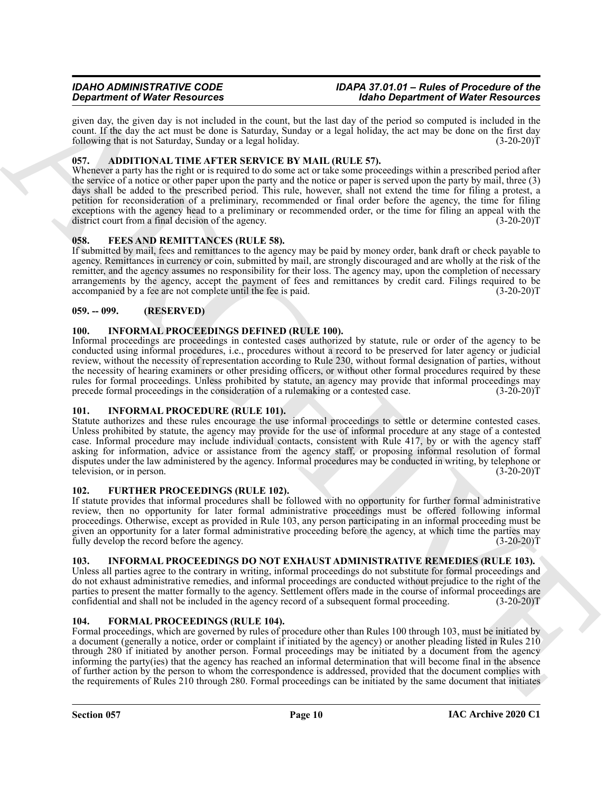given day, the given day is not included in the count, but the last day of the period so computed is included in the count. If the day the act must be done is Saturday, Sunday or a legal holiday, the act may be done on the first day following that is not Saturday, Sunday or a legal holiday. (3-20-20)T

# <span id="page-9-8"></span><span id="page-9-0"></span>**057. ADDITIONAL TIME AFTER SERVICE BY MAIL (RULE 57).**

Whenever a party has the right or is required to do some act or take some proceedings within a prescribed period after the service of a notice or other paper upon the party and the notice or paper is served upon the party by mail, three (3) days shall be added to the prescribed period. This rule, however, shall not extend the time for filing a protest, a petition for reconsideration of a preliminary, recommended or final order before the agency, the time for filing exceptions with the agency head to a preliminary or recommended order, or the time for filing an appeal with the district court from a final decision of the agency. (3-20-20) district court from a final decision of the agency.

# <span id="page-9-9"></span><span id="page-9-1"></span>**058. FEES AND REMITTANCES (RULE 58).**

If submitted by mail, fees and remittances to the agency may be paid by money order, bank draft or check payable to agency. Remittances in currency or coin, submitted by mail, are strongly discouraged and are wholly at the risk of the remitter, and the agency assumes no responsibility for their loss. The agency may, upon the completion of necessary arrangements by the agency, accept the payment of fees and remittances by credit card. Filings required to be accompanied by a fee are not complete until the fee is paid. (3-20-20)T

# <span id="page-9-2"></span>**059. -- 099. (RESERVED)**

# <span id="page-9-13"></span><span id="page-9-3"></span>**100. INFORMAL PROCEEDINGS DEFINED (RULE 100).**

Informal proceedings are proceedings in contested cases authorized by statute, rule or order of the agency to be conducted using informal procedures, i.e., procedures without a record to be preserved for later agency or judicial review, without the necessity of representation according to Rule 230, without formal designation of parties, without the necessity of hearing examiners or other presiding officers, or without other formal procedures required by these rules for formal proceedings. Unless prohibited by statute, an agency may provide that informal proceedings may<br>precede formal proceedings in the consideration of a rulemaking or a contested case. (3-20-20) precede formal proceedings in the consideration of a rulemaking or a contested case.

# <span id="page-9-12"></span><span id="page-9-4"></span>**101. INFORMAL PROCEDURE (RULE 101).**

**Dependent of Water Resources** on the last two spaces and the last two *Disputerions* of Water Resources on the last two spaces of the last two spaces of the last two spaces of the last two spaces of the last two spaces o Statute authorizes and these rules encourage the use informal proceedings to settle or determine contested cases. Unless prohibited by statute, the agency may provide for the use of informal procedure at any stage of a contested case. Informal procedure may include individual contacts, consistent with Rule 417, by or with the agency staff asking for information, advice or assistance from the agency staff, or proposing informal resolution of formal disputes under the law administered by the agency. Informal procedures may be conducted in writing, by telephone or television, or in person. (3-20-20)T

# <span id="page-9-11"></span><span id="page-9-5"></span>**102. FURTHER PROCEEDINGS (RULE 102).**

If statute provides that informal procedures shall be followed with no opportunity for further formal administrative review, then no opportunity for later formal administrative proceedings must be offered following informal proceedings. Otherwise, except as provided in Rule 103, any person participating in an informal proceeding must be given an opportunity for a later formal administrative proceeding before the agency, at which time the parties may fully develop the record before the agency. (3-20-20)T

# <span id="page-9-14"></span><span id="page-9-6"></span>**103. INFORMAL PROCEEDINGS DO NOT EXHAUST ADMINISTRATIVE REMEDIES (RULE 103).**

Unless all parties agree to the contrary in writing, informal proceedings do not substitute for formal proceedings and do not exhaust administrative remedies, and informal proceedings are conducted without prejudice to the right of the parties to present the matter formally to the agency. Settlement offers made in the course of informal proceedings are confidential and shall not be included in the agency record of a subsequent formal proceeding. (3-20-20)T

# <span id="page-9-10"></span><span id="page-9-7"></span>**104. FORMAL PROCEEDINGS (RULE 104).**

Formal proceedings, which are governed by rules of procedure other than Rules 100 through 103, must be initiated by a document (generally a notice, order or complaint if initiated by the agency) or another pleading listed in Rules 210 through 280 if initiated by another person. Formal proceedings may be initiated by a document from the agency informing the party(ies) that the agency has reached an informal determination that will become final in the absence of further action by the person to whom the correspondence is addressed, provided that the document complies with the requirements of Rules 210 through 280. Formal proceedings can be initiated by the same document that initiates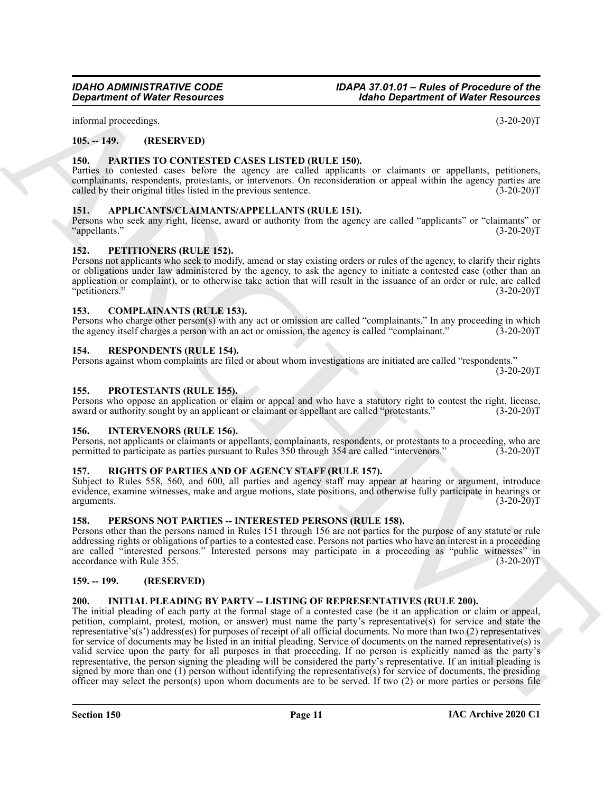informal proceedings. (3-20-20)T

# <span id="page-10-0"></span>**105. -- 149. (RESERVED)**

#### <span id="page-10-16"></span><span id="page-10-1"></span>**150. PARTIES TO CONTESTED CASES LISTED (RULE 150).**

Parties to contested cases before the agency are called applicants or claimants or appellants, petitioners, complainants, respondents, protestants, or intervenors. On reconsideration or appeal within the agency parties are called by their original titles listed in the previous sentence. (3-20-20)T

#### <span id="page-10-12"></span><span id="page-10-2"></span>**151. APPLICANTS/CLAIMANTS/APPELLANTS (RULE 151).**

Persons who seek any right, license, award or authority from the agency are called "applicants" or "claimants" or "appellants." (3-20-20)T

#### <span id="page-10-18"></span><span id="page-10-3"></span>**152. PETITIONERS (RULE 152).**

Persons not applicants who seek to modify, amend or stay existing orders or rules of the agency, to clarify their rights or obligations under law administered by the agency, to ask the agency to initiate a contested case (other than an application or complaint), or to otherwise take action that will result in the issuance of an order or rule, are called "petitioners." (3-20-20)T

#### <span id="page-10-13"></span><span id="page-10-4"></span>**153. COMPLAINANTS (RULE 153).**

Persons who charge other person(s) with any act or omission are called "complainants." In any proceeding in which the agency itself charges a person with an act or omission, the agency is called "complainant." (3-20-20)T the agency itself charges a person with an act or omission, the agency is called "complainant."

#### <span id="page-10-20"></span><span id="page-10-5"></span>**154. RESPONDENTS (RULE 154).**

Persons against whom complaints are filed or about whom investigations are initiated are called "respondents."

 $(3-20-20)T$ 

#### <span id="page-10-19"></span><span id="page-10-6"></span>**155. PROTESTANTS (RULE 155).**

Persons who oppose an application or claim or appeal and who have a statutory right to contest the right, license, award or authority sought by an applicant or claimant or appellant are called "protestants." (3-20-20)T

#### <span id="page-10-15"></span><span id="page-10-7"></span>**156. INTERVENORS (RULE 156).**

Persons, not applicants or claimants or appellants, complainants, respondents, or protestants to a proceeding, who are permitted to participate as parties pursuant to Rules 350 through 354 are called "intervenors." (3-20-20)T

#### <span id="page-10-21"></span><span id="page-10-8"></span>**157. RIGHTS OF PARTIES AND OF AGENCY STAFF (RULE 157).**

Subject to Rules 558, 560, and 600, all parties and agency staff may appear at hearing or argument, introduce evidence, examine witnesses, make and argue motions, state positions, and otherwise fully participate in hearings or arguments.  $(3-20-20)T$ 

#### <span id="page-10-17"></span><span id="page-10-9"></span>**158. PERSONS NOT PARTIES -- INTERESTED PERSONS (RULE 158).**

Persons other than the persons named in Rules 151 through 156 are not parties for the purpose of any statute or rule addressing rights or obligations of parties to a contested case. Persons not parties who have an interest in a proceeding are called "interested persons." Interested persons may participate in a proceeding as "public witnesses" in accordance with Rule 355. (3-20-20)T

#### <span id="page-10-10"></span>**159. -- 199. (RESERVED)**

#### <span id="page-10-14"></span><span id="page-10-11"></span>**200. INITIAL PLEADING BY PARTY -- LISTING OF REPRESENTATIVES (RULE 200).**

**Equation of Water Resources**<br>
Holino Beautiful (18 Note Resources<br>
18 no. **FACHES (Note Resources**<br>
18 no. **FACHES (NOTE)**<br>
18 no. **FACHES (NOTE)**<br>
18 no. **FACHES (NOTE)**<br>
18 no. **FACHES (NOTE)**<br> **EXERCISE CONTENTS (NOTE** The initial pleading of each party at the formal stage of a contested case (be it an application or claim or appeal, petition, complaint, protest, motion, or answer) must name the party's representative(s) for service and state the representative's(s') address(es) for purposes of receipt of all official documents. No more than two (2) representatives for service of documents may be listed in an initial pleading. Service of documents on the named representative(s) is valid service upon the party for all purposes in that proceeding. If no person is explicitly named as the party's representative, the person signing the pleading will be considered the party's representative. If an initial pleading is signed by more than one (1) person without identifying the representative(s) for service of documents, the presiding officer may select the person(s) upon whom documents are to be served. If two (2) or more parties or persons file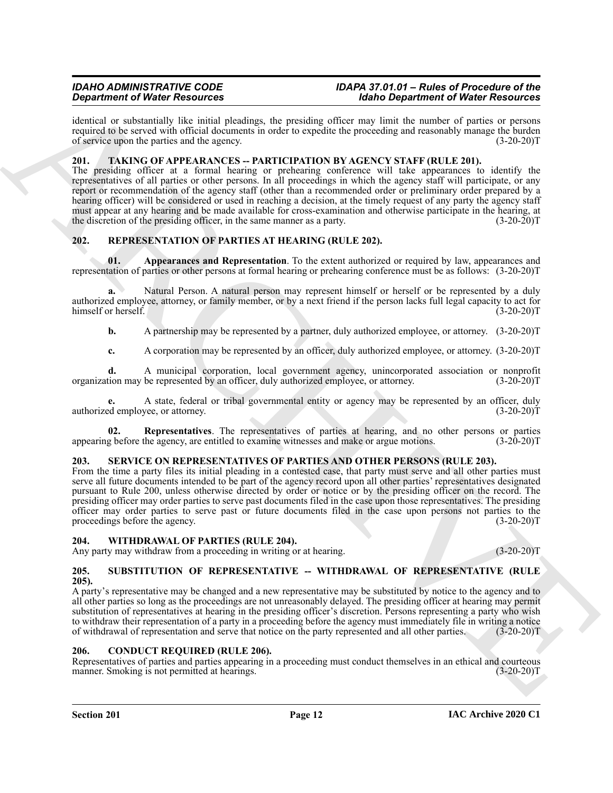identical or substantially like initial pleadings, the presiding officer may limit the number of parties or persons required to be served with official documents in order to expedite the proceeding and reasonably manage the burden of service upon the parties and the agency. (3-20-20)T

#### <span id="page-11-12"></span><span id="page-11-0"></span>**201. TAKING OF APPEARANCES -- PARTICIPATION BY AGENCY STAFF (RULE 201).**

**Stationized Windows From the stationary and the stationary in the stationary of Windows From the Stationary and the stationary and the stationary and the stationary and the stationary of Windows From the Stationary and t** The presiding officer at a formal hearing or prehearing conference will take appearances to identify the representatives of all parties or other persons. In all proceedings in which the agency staff will participate, or any report or recommendation of the agency staff (other than a recommended order or preliminary order prepared by a hearing officer) will be considered or used in reaching a decision, at the timely request of any party the agency staff must appear at any hearing and be made available for cross-examination and otherwise participate in the hearing, at the discretion of the presiding officer, in the same manner as a party.  $(3-20-20)T$ 

# <span id="page-11-7"></span><span id="page-11-1"></span>**202. REPRESENTATION OF PARTIES AT HEARING (RULE 202).**

<span id="page-11-8"></span>**01. Appearances and Representation**. To the extent authorized or required by law, appearances and representation of parties or other persons at formal hearing or prehearing conference must be as follows: (3-20-20)T

Natural Person. A natural person may represent himself or herself or be represented by a duly authorized employee, attorney, or family member, or by a next friend if the person lacks full legal capacity to act for himself or herself. (3-20-20)T

**b.** A partnership may be represented by a partner, duly authorized employee, or attorney.  $(3-20-20)T$ 

**c.** A corporation may be represented by an officer, duly authorized employee, or attorney. (3-20-20)T

**d.** A municipal corporation, local government agency, unincorporated association or nonprofit organization may be represented by an officer, duly authorized employee, or attorney. (3-20-20)T

**e.** A state, federal or tribal governmental entity or agency may be represented by an officer, duly authorized employee, or attorney. (3-20-20)T

<span id="page-11-9"></span>**02. Representatives**. The representatives of parties at hearing, and no other persons or parties appearing before the agency, are entitled to examine witnesses and make or argue motions. (3-20-20)T

# <span id="page-11-10"></span><span id="page-11-2"></span>**203. SERVICE ON REPRESENTATIVES OF PARTIES AND OTHER PERSONS (RULE 203).**

From the time a party files its initial pleading in a contested case, that party must serve and all other parties must serve all future documents intended to be part of the agency record upon all other parties' representatives designated pursuant to Rule 200, unless otherwise directed by order or notice or by the presiding officer on the record. The presiding officer may order parties to serve past documents filed in the case upon those representatives. The presiding officer may order parties to serve past or future documents filed in the case upon persons not parties to the proceedings before the agency. (3-20-20)T

#### <span id="page-11-13"></span><span id="page-11-3"></span>**204. WITHDRAWAL OF PARTIES (RULE 204).**

Any party may withdraw from a proceeding in writing or at hearing. (3-20-20)T

#### <span id="page-11-11"></span><span id="page-11-4"></span>**205. SUBSTITUTION OF REPRESENTATIVE -- WITHDRAWAL OF REPRESENTATIVE (RULE 205).**

A party's representative may be changed and a new representative may be substituted by notice to the agency and to all other parties so long as the proceedings are not unreasonably delayed. The presiding officer at hearing may permit substitution of representatives at hearing in the presiding officer's discretion. Persons representing a party who wish to withdraw their representation of a party in a proceeding before the agency must immediately file in writing a notice of withdrawal of representation and serve that notice on the party represented and all other parties. (3-20-20)T

#### <span id="page-11-6"></span><span id="page-11-5"></span>**206. CONDUCT REQUIRED (RULE 206).**

Representatives of parties and parties appearing in a proceeding must conduct themselves in an ethical and courteous manner. Smoking is not permitted at hearings. (3-20-20) manner. Smoking is not permitted at hearings.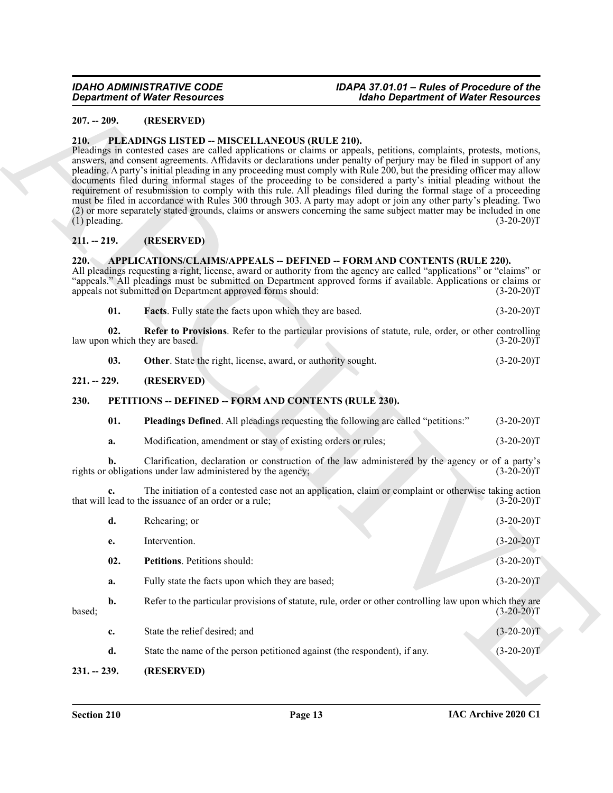#### <span id="page-12-0"></span>**207. -- 209. (RESERVED)**

#### <span id="page-12-11"></span><span id="page-12-1"></span>**210. PLEADINGS LISTED -- MISCELLANEOUS (RULE 210).**

# <span id="page-12-2"></span>**211. -- 219. (RESERVED)**

# <span id="page-12-7"></span><span id="page-12-3"></span>**220. APPLICATIONS/CLAIMS/APPEALS -- DEFINED -- FORM AND CONTENTS (RULE 220).**

| 01.<br><b>Facts.</b> Fully state the facts upon which they are based. |  | $(3-20-20)T$ |
|-----------------------------------------------------------------------|--|--------------|
|-----------------------------------------------------------------------|--|--------------|

### <span id="page-12-4"></span>**221. -- 229. (RESERVED)**

# <span id="page-12-10"></span><span id="page-12-8"></span><span id="page-12-5"></span>**230. PETITIONS -- DEFINED -- FORM AND CONTENTS (RULE 230).**

| <b>Department of Water Resources</b> |                                                                           | <b>Idaho Department of Water Resources</b>                                                                                                                                                                                                                                                                                                                                                                                                                                                                                                                                                                                                                                                                                                                                                                                                               |              |
|--------------------------------------|---------------------------------------------------------------------------|----------------------------------------------------------------------------------------------------------------------------------------------------------------------------------------------------------------------------------------------------------------------------------------------------------------------------------------------------------------------------------------------------------------------------------------------------------------------------------------------------------------------------------------------------------------------------------------------------------------------------------------------------------------------------------------------------------------------------------------------------------------------------------------------------------------------------------------------------------|--------------|
| $207. - 209.$                        | (RESERVED)                                                                |                                                                                                                                                                                                                                                                                                                                                                                                                                                                                                                                                                                                                                                                                                                                                                                                                                                          |              |
| <b>210.</b><br>$(1)$ pleading.       | PLEADINGS LISTED -- MISCELLANEOUS (RULE 210).                             | Pleadings in contested cases are called applications or claims or appeals, petitions, complaints, protests, motions,<br>answers, and consent agreements. Affidavits or declarations under penalty of perjury may be filed in support of any<br>pleading. A party's initial pleading in any proceeding must comply with Rule 200, but the presiding officer may allow<br>documents filed during informal stages of the proceeding to be considered a party's initial pleading without the<br>requirement of resubmission to comply with this rule. All pleadings filed during the formal stage of a proceeding<br>must be filed in accordance with Rules 300 through 303. A party may adopt or join any other party's pleading. Two<br>(2) or more separately stated grounds, claims or answers concerning the same subject matter may be included in one | $(3-20-20)T$ |
| $211. - 219.$                        | (RESERVED)                                                                |                                                                                                                                                                                                                                                                                                                                                                                                                                                                                                                                                                                                                                                                                                                                                                                                                                                          |              |
| 220.                                 | appeals not submitted on Department approved forms should:                | <b>APPLICATIONS/CLAIMS/APPEALS -- DEFINED -- FORM AND CONTENTS (RULE 220).</b><br>All pleadings requesting a right, license, award or authority from the agency are called "applications" or "claims" or<br>"appeals." All pleadings must be submitted on Department approved forms if available. Applications or claims or                                                                                                                                                                                                                                                                                                                                                                                                                                                                                                                              | $(3-20-20)T$ |
|                                      | 01.<br>Facts. Fully state the facts upon which they are based.            |                                                                                                                                                                                                                                                                                                                                                                                                                                                                                                                                                                                                                                                                                                                                                                                                                                                          | $(3-20-20)T$ |
|                                      | 02.<br>law upon which they are based.                                     | Refer to Provisions. Refer to the particular provisions of statute, rule, order, or other controlling                                                                                                                                                                                                                                                                                                                                                                                                                                                                                                                                                                                                                                                                                                                                                    | $(3-20-20)T$ |
|                                      | 03.<br>Other. State the right, license, award, or authority sought.       |                                                                                                                                                                                                                                                                                                                                                                                                                                                                                                                                                                                                                                                                                                                                                                                                                                                          | $(3-20-20)T$ |
| $221. - 229.$                        | (RESERVED)                                                                |                                                                                                                                                                                                                                                                                                                                                                                                                                                                                                                                                                                                                                                                                                                                                                                                                                                          |              |
| 230.                                 | PETITIONS -- DEFINED -- FORM AND CONTENTS (RULE 230).                     |                                                                                                                                                                                                                                                                                                                                                                                                                                                                                                                                                                                                                                                                                                                                                                                                                                                          |              |
|                                      | 01.                                                                       | <b>Pleadings Defined.</b> All pleadings requesting the following are called "petitions:"                                                                                                                                                                                                                                                                                                                                                                                                                                                                                                                                                                                                                                                                                                                                                                 | $(3-20-20)T$ |
| a.                                   | Modification, amendment or stay of existing orders or rules;              |                                                                                                                                                                                                                                                                                                                                                                                                                                                                                                                                                                                                                                                                                                                                                                                                                                                          | $(3-20-20)T$ |
|                                      | rights or obligations under law administered by the agency;               | Clarification, declaration or construction of the law administered by the agency or of a party's                                                                                                                                                                                                                                                                                                                                                                                                                                                                                                                                                                                                                                                                                                                                                         | $(3-20-20)T$ |
| $c_{\cdot}$                          | that will lead to the issuance of an order or a rule;                     | The initiation of a contested case not an application, claim or complaint or otherwise taking action                                                                                                                                                                                                                                                                                                                                                                                                                                                                                                                                                                                                                                                                                                                                                     | $(3-20-20)T$ |
| d.                                   | Rehearing; or                                                             |                                                                                                                                                                                                                                                                                                                                                                                                                                                                                                                                                                                                                                                                                                                                                                                                                                                          | $(3-20-20)T$ |
| e.                                   | Intervention.                                                             |                                                                                                                                                                                                                                                                                                                                                                                                                                                                                                                                                                                                                                                                                                                                                                                                                                                          | $(3-20-20)T$ |
|                                      | 02.<br>Petitions. Petitions should:                                       |                                                                                                                                                                                                                                                                                                                                                                                                                                                                                                                                                                                                                                                                                                                                                                                                                                                          | $(3-20-20)T$ |
| a.                                   | Fully state the facts upon which they are based;                          |                                                                                                                                                                                                                                                                                                                                                                                                                                                                                                                                                                                                                                                                                                                                                                                                                                                          | $(3-20-20)T$ |
| b.<br>based;                         |                                                                           | Refer to the particular provisions of statute, rule, order or other controlling law upon which they are                                                                                                                                                                                                                                                                                                                                                                                                                                                                                                                                                                                                                                                                                                                                                  | $(3-20-20)T$ |
| c.                                   | State the relief desired; and                                             |                                                                                                                                                                                                                                                                                                                                                                                                                                                                                                                                                                                                                                                                                                                                                                                                                                                          | $(3-20-20)T$ |
| d.                                   | State the name of the person petitioned against (the respondent), if any. |                                                                                                                                                                                                                                                                                                                                                                                                                                                                                                                                                                                                                                                                                                                                                                                                                                                          | $(3-20-20)T$ |
| $231. - 239.$                        | (RESERVED)                                                                |                                                                                                                                                                                                                                                                                                                                                                                                                                                                                                                                                                                                                                                                                                                                                                                                                                                          |              |

# <span id="page-12-9"></span><span id="page-12-6"></span>**231. -- 239. (RESERVED)**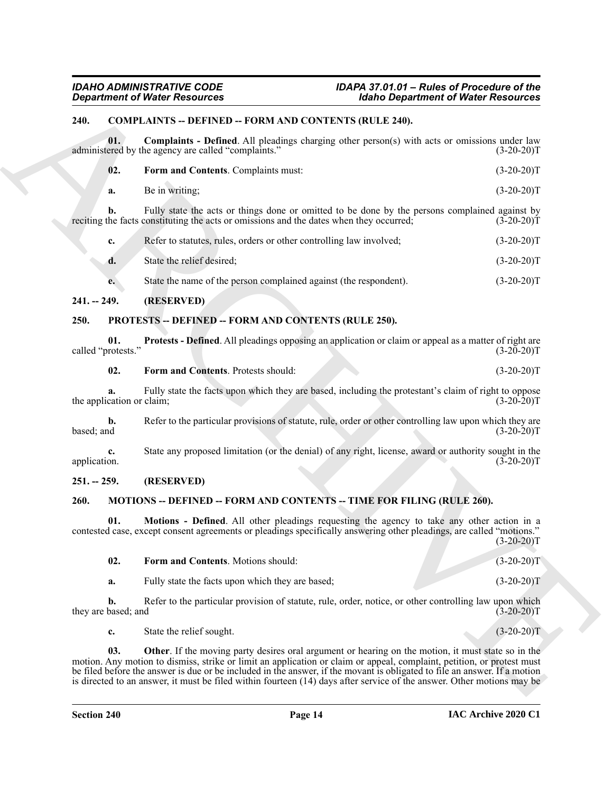### <span id="page-13-5"></span><span id="page-13-0"></span>**240. COMPLAINTS -- DEFINED -- FORM AND CONTENTS (RULE 240).**

<span id="page-13-7"></span><span id="page-13-6"></span>

| $\overline{02}$ . | <b>Form and Contents.</b> Complaints must: | $(3-20-20)T$ |
|-------------------|--------------------------------------------|--------------|
| a.                | Be in writing;                             | $(3-20-20)T$ |

|                           | <b>Department of Water Resources</b>                                                                                                                                                                                                                                                                                                                                                                                                                                                  | <b>Idaho Department of Water Resources</b> |              |
|---------------------------|---------------------------------------------------------------------------------------------------------------------------------------------------------------------------------------------------------------------------------------------------------------------------------------------------------------------------------------------------------------------------------------------------------------------------------------------------------------------------------------|--------------------------------------------|--------------|
| 240.                      | <b>COMPLAINTS -- DEFINED -- FORM AND CONTENTS (RULE 240).</b>                                                                                                                                                                                                                                                                                                                                                                                                                         |                                            |              |
| 01.                       | <b>Complaints - Defined.</b> All pleadings charging other person(s) with acts or omissions under law<br>administered by the agency are called "complaints."                                                                                                                                                                                                                                                                                                                           |                                            | $(3-20-20)T$ |
| 02.                       | Form and Contents. Complaints must:                                                                                                                                                                                                                                                                                                                                                                                                                                                   |                                            | $(3-20-20)T$ |
| a.                        | Be in writing;                                                                                                                                                                                                                                                                                                                                                                                                                                                                        |                                            | $(3-20-20)T$ |
| b.                        | Fully state the acts or things done or omitted to be done by the persons complained against by<br>reciting the facts constituting the acts or omissions and the dates when they occurred;                                                                                                                                                                                                                                                                                             |                                            | $(3-20-20)T$ |
| c.                        | Refer to statutes, rules, orders or other controlling law involved;                                                                                                                                                                                                                                                                                                                                                                                                                   |                                            | $(3-20-20)T$ |
| d.                        | State the relief desired;                                                                                                                                                                                                                                                                                                                                                                                                                                                             |                                            | $(3-20-20)T$ |
| e.                        | State the name of the person complained against (the respondent).                                                                                                                                                                                                                                                                                                                                                                                                                     |                                            | $(3-20-20)T$ |
| $241. - 249.$             | (RESERVED)                                                                                                                                                                                                                                                                                                                                                                                                                                                                            |                                            |              |
| 250.                      | <b>PROTESTS -- DEFINED -- FORM AND CONTENTS (RULE 250).</b>                                                                                                                                                                                                                                                                                                                                                                                                                           |                                            |              |
| 01.<br>called "protests." | <b>Protests - Defined.</b> All pleadings opposing an application or claim or appeal as a matter of right are                                                                                                                                                                                                                                                                                                                                                                          |                                            | $(3-20-20)T$ |
| 02.                       | Form and Contents. Protests should:                                                                                                                                                                                                                                                                                                                                                                                                                                                   |                                            | $(3-20-20)T$ |
| the application or claim; | Fully state the facts upon which they are based, including the protestant's claim of right to oppose                                                                                                                                                                                                                                                                                                                                                                                  |                                            | $(3-20-20)T$ |
| b.<br>based; and          | Refer to the particular provisions of statute, rule, order or other controlling law upon which they are                                                                                                                                                                                                                                                                                                                                                                               |                                            | $(3-20-20)T$ |
| c.<br>application.        | State any proposed limitation (or the denial) of any right, license, award or authority sought in the                                                                                                                                                                                                                                                                                                                                                                                 |                                            | $(3-20-20)T$ |
| $251. - 259.$             | (RESERVED)                                                                                                                                                                                                                                                                                                                                                                                                                                                                            |                                            |              |
| 260.                      | <b>MOTIONS -- DEFINED -- FORM AND CONTENTS -- TIME FOR FILING (RULE 260).</b>                                                                                                                                                                                                                                                                                                                                                                                                         |                                            |              |
| 01.                       | Motions - Defined. All other pleadings requesting the agency to take any other action in a<br>contested case, except consent agreements or pleadings specifically answering other pleadings, are called "motions."                                                                                                                                                                                                                                                                    |                                            | $(3-20-20)T$ |
| 02.                       | Form and Contents. Motions should:                                                                                                                                                                                                                                                                                                                                                                                                                                                    |                                            | $(3-20-20)T$ |
| a.                        | Fully state the facts upon which they are based;                                                                                                                                                                                                                                                                                                                                                                                                                                      |                                            | $(3-20-20)T$ |
| b.<br>they are based; and | Refer to the particular provision of statute, rule, order, notice, or other controlling law upon which                                                                                                                                                                                                                                                                                                                                                                                |                                            | $(3-20-20)T$ |
| c.                        | State the relief sought.                                                                                                                                                                                                                                                                                                                                                                                                                                                              |                                            | $(3-20-20)T$ |
| 03.                       | Other. If the moving party desires oral argument or hearing on the motion, it must state so in the<br>motion. Any motion to dismiss, strike or limit an application or claim or appeal, complaint, petition, or protest must<br>be filed before the answer is due or be included in the answer, if the movant is obligated to file an answer. If a motion<br>is directed to an answer, it must be filed within fourteen $(14)$ days after service of the answer. Other motions may be |                                            |              |

#### <span id="page-13-1"></span>**241. -- 249. (RESERVED)**

#### <span id="page-13-14"></span><span id="page-13-13"></span><span id="page-13-12"></span><span id="page-13-2"></span>**250. PROTESTS -- DEFINED -- FORM AND CONTENTS (RULE 250).**

#### <span id="page-13-3"></span>**251. -- 259. (RESERVED)**

# <span id="page-13-8"></span><span id="page-13-4"></span>**260. MOTIONS -- DEFINED -- FORM AND CONTENTS -- TIME FOR FILING (RULE 260).**

<span id="page-13-11"></span><span id="page-13-10"></span><span id="page-13-9"></span>

| <b>Form and Contents.</b> Motions should:        | $(3-20-20)T$ |
|--------------------------------------------------|--------------|
| Fully state the facts upon which they are based: | $(3-20-20)T$ |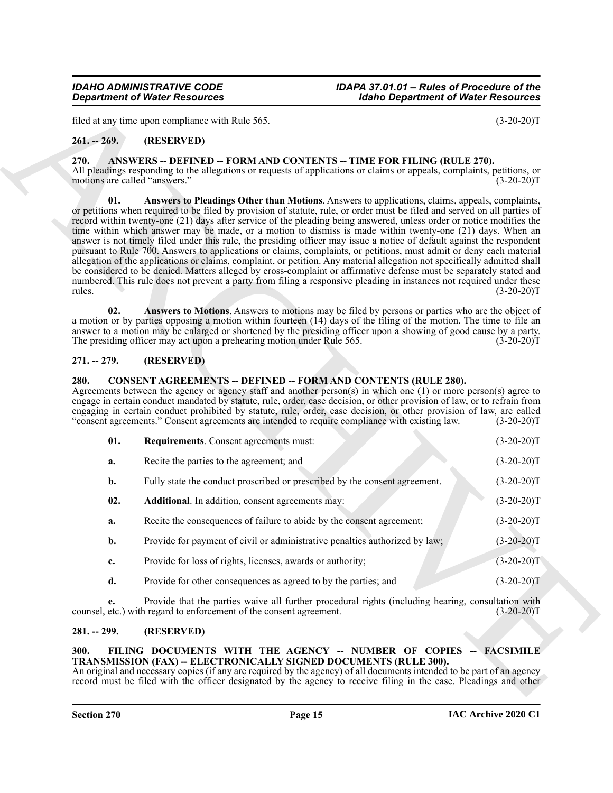# <span id="page-14-0"></span>**261. -- 269. (RESERVED)**

#### <span id="page-14-8"></span><span id="page-14-6"></span><span id="page-14-1"></span>**270. ANSWERS -- DEFINED -- FORM AND CONTENTS -- TIME FOR FILING (RULE 270).**

#### <span id="page-14-7"></span><span id="page-14-2"></span>**271. -- 279. (RESERVED)**

#### <span id="page-14-11"></span><span id="page-14-10"></span><span id="page-14-9"></span><span id="page-14-3"></span>**280. CONSENT AGREEMENTS -- DEFINED -- FORM AND CONTENTS (RULE 280).**

|                                                                                                                                                                                                                                            | <b>Department of Water Resources</b>                                                                                                                                                                                                                                                                                                                                                                                                                                                                                                                                                                                                                                                                                                                                                                                                                                                                                                                                                                                                                                                          | <b>Idaho Department of Water Resources</b>                                                                        |
|--------------------------------------------------------------------------------------------------------------------------------------------------------------------------------------------------------------------------------------------|-----------------------------------------------------------------------------------------------------------------------------------------------------------------------------------------------------------------------------------------------------------------------------------------------------------------------------------------------------------------------------------------------------------------------------------------------------------------------------------------------------------------------------------------------------------------------------------------------------------------------------------------------------------------------------------------------------------------------------------------------------------------------------------------------------------------------------------------------------------------------------------------------------------------------------------------------------------------------------------------------------------------------------------------------------------------------------------------------|-------------------------------------------------------------------------------------------------------------------|
|                                                                                                                                                                                                                                            | filed at any time upon compliance with Rule 565.                                                                                                                                                                                                                                                                                                                                                                                                                                                                                                                                                                                                                                                                                                                                                                                                                                                                                                                                                                                                                                              | $(3-20-20)T$                                                                                                      |
| $261 - 269.$                                                                                                                                                                                                                               | (RESERVED)                                                                                                                                                                                                                                                                                                                                                                                                                                                                                                                                                                                                                                                                                                                                                                                                                                                                                                                                                                                                                                                                                    |                                                                                                                   |
| 270.<br>ANSWERS -- DEFINED -- FORM AND CONTENTS -- TIME FOR FILING (RULE 270).<br>All pleadings responding to the allegations or requests of applications or claims or appeals, complaints, petitions, or<br>motions are called "answers." |                                                                                                                                                                                                                                                                                                                                                                                                                                                                                                                                                                                                                                                                                                                                                                                                                                                                                                                                                                                                                                                                                               | $(3-20-20)T$                                                                                                      |
| 01.<br>rules.                                                                                                                                                                                                                              | Answers to Pleadings Other than Motions. Answers to applications, claims, appeals, complaints,<br>or petitions when required to be filed by provision of statute, rule, or order must be filed and served on all parties of<br>record within twenty-one (21) days after service of the pleading being answered, unless order or notice modifies the<br>time within which answer may be made, or a motion to dismiss is made within twenty-one (21) days. When an<br>answer is not timely filed under this rule, the presiding officer may issue a notice of default against the respondent<br>pursuant to Rule 700. Answers to applications or claims, complaints, or petitions, must admit or deny each material<br>allegation of the applications or claims, complaint, or petition. Any material allegation not specifically admitted shall<br>be considered to be denied. Matters alleged by cross-complaint or affirmative defense must be separately stated and<br>numbered. This rule does not prevent a party from filing a responsive pleading in instances not required under these | $(3-20-20)T$                                                                                                      |
| 02.                                                                                                                                                                                                                                        | Answers to Motions. Answers to motions may be filed by persons or parties who are the object of<br>a motion or by parties opposing a motion within fourteen (14) days of the filing of the motion. The time to file an<br>answer to a motion may be enlarged or shortened by the presiding officer upon a showing of good cause by a party.<br>The presiding officer may act upon a prehearing motion under Rule 565.                                                                                                                                                                                                                                                                                                                                                                                                                                                                                                                                                                                                                                                                         | $(3-20-20)T$                                                                                                      |
| $271. - 279.$                                                                                                                                                                                                                              | (RESERVED)                                                                                                                                                                                                                                                                                                                                                                                                                                                                                                                                                                                                                                                                                                                                                                                                                                                                                                                                                                                                                                                                                    |                                                                                                                   |
| 280.                                                                                                                                                                                                                                       | <b>CONSENT AGREEMENTS -- DEFINED -- FORM AND CONTENTS (RULE 280).</b><br>Agreements between the agency or agency staff and another person(s) in which one (1) or more person(s) agree to<br>engage in certain conduct mandated by statute, rule, order, case decision, or other provision of law, or to refrain from<br>engaging in certain conduct prohibited by statute, rule, order, case decision, or other provision of law, are called<br>"consent agreements." Consent agreements are intended to require compliance with existing law.                                                                                                                                                                                                                                                                                                                                                                                                                                                                                                                                                | $(3-20-20)T$                                                                                                      |
| 01.                                                                                                                                                                                                                                        | <b>Requirements.</b> Consent agreements must:                                                                                                                                                                                                                                                                                                                                                                                                                                                                                                                                                                                                                                                                                                                                                                                                                                                                                                                                                                                                                                                 | $(3-20-20)T$                                                                                                      |
| a.                                                                                                                                                                                                                                         | Recite the parties to the agreement; and                                                                                                                                                                                                                                                                                                                                                                                                                                                                                                                                                                                                                                                                                                                                                                                                                                                                                                                                                                                                                                                      | $(3-20-20)T$                                                                                                      |
| b.                                                                                                                                                                                                                                         | Fully state the conduct proscribed or prescribed by the consent agreement.                                                                                                                                                                                                                                                                                                                                                                                                                                                                                                                                                                                                                                                                                                                                                                                                                                                                                                                                                                                                                    | $(3-20-20)T$                                                                                                      |
| 02.                                                                                                                                                                                                                                        | Additional. In addition, consent agreements may:                                                                                                                                                                                                                                                                                                                                                                                                                                                                                                                                                                                                                                                                                                                                                                                                                                                                                                                                                                                                                                              | $(3-20-20)T$                                                                                                      |
| a.                                                                                                                                                                                                                                         | Recite the consequences of failure to abide by the consent agreement;                                                                                                                                                                                                                                                                                                                                                                                                                                                                                                                                                                                                                                                                                                                                                                                                                                                                                                                                                                                                                         | $(3-20-20)T$                                                                                                      |
| b.                                                                                                                                                                                                                                         | Provide for payment of civil or administrative penalties authorized by law;                                                                                                                                                                                                                                                                                                                                                                                                                                                                                                                                                                                                                                                                                                                                                                                                                                                                                                                                                                                                                   | $(3-20-20)T$                                                                                                      |
| c.                                                                                                                                                                                                                                         | Provide for loss of rights, licenses, awards or authority;                                                                                                                                                                                                                                                                                                                                                                                                                                                                                                                                                                                                                                                                                                                                                                                                                                                                                                                                                                                                                                    | $(3-20-20)T$                                                                                                      |
| d.                                                                                                                                                                                                                                         | Provide for other consequences as agreed to by the parties; and                                                                                                                                                                                                                                                                                                                                                                                                                                                                                                                                                                                                                                                                                                                                                                                                                                                                                                                                                                                                                               | $(3-20-20)T$                                                                                                      |
| e.                                                                                                                                                                                                                                         | Provide that the parties waive all further procedural rights (including hearing, consultation with<br>counsel, etc.) with regard to enforcement of the consent agreement.                                                                                                                                                                                                                                                                                                                                                                                                                                                                                                                                                                                                                                                                                                                                                                                                                                                                                                                     | $(3-20-20)T$                                                                                                      |
|                                                                                                                                                                                                                                            | (RESERVED)                                                                                                                                                                                                                                                                                                                                                                                                                                                                                                                                                                                                                                                                                                                                                                                                                                                                                                                                                                                                                                                                                    |                                                                                                                   |
| $281. - 299.$<br>300.                                                                                                                                                                                                                      | FILING DOCUMENTS WITH THE AGENCY -- NUMBER OF COPIES -- FACSIMILE<br>TRANSMISSION (FAX) -- ELECTRONICALLY SIGNED DOCUMENTS (RULE 300).<br>An original and necessary copies (if any are required by the agency) of all documents intended to be part of an agency                                                                                                                                                                                                                                                                                                                                                                                                                                                                                                                                                                                                                                                                                                                                                                                                                              | record must be filed with the officer designated by the agency to receive filing in the case. Pleadings and other |

#### <span id="page-14-4"></span>**281. -- 299. (RESERVED)**

#### <span id="page-14-12"></span><span id="page-14-5"></span>**300. FILING DOCUMENTS WITH THE AGENCY -- NUMBER OF COPIES -- FACSIMILE TRANSMISSION (FAX) -- ELECTRONICALLY SIGNED DOCUMENTS (RULE 300).**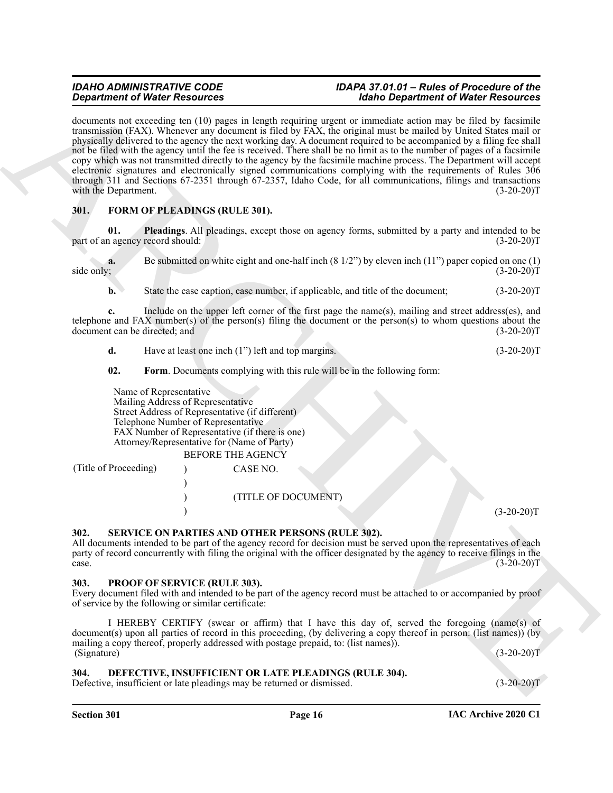**Signal from Collinson Constraints and the system of the formulation of Web Freedom State Collinson Collinson Collinson Constraints and the system of the system of the system of the system of the system of the system of t** documents not exceeding ten (10) pages in length requiring urgent or immediate action may be filed by facsimile transmission (FAX). Whenever any document is filed by FAX, the original must be mailed by United States mail or physically delivered to the agency the next working day. A document required to be accompanied by a filing fee shall not be filed with the agency until the fee is received. There shall be no limit as to the number of pages of a facsimile copy which was not transmitted directly to the agency by the facsimile machine process. The Department will accept electronic signatures and electronically signed communications complying with the requirements of Rules 306 through 311 and Sections 67-2351 through 67-2357, Idaho Code, for all communications, filings and transactions with the Department. (3-20-20)T

# <span id="page-15-5"></span><span id="page-15-0"></span>**301. FORM OF PLEADINGS (RULE 301).**

<span id="page-15-7"></span>**01. Pleadings**. All pleadings, except those on agency forms, submitted by a party and intended to be part of an agency record should:

**a.** Be submitted on white eight and one-half inch (8 1/2") by eleven inch (11") paper copied on one (1) side only; (3-20-20)<sup>T</sup>  $\text{side only};$  (3-20-20)T

**b.** State the case caption, case number, if applicable, and title of the document; (3-20-20)T

**c.** Include on the upper left corner of the first page the name(s), mailing and street address(es), and telephone and FAX number(s) of the person(s) filing the document or the person(s) to whom questions about the document can be directed; and  $(3-20-20)$ document can be directed; and

**d.** Have at least one inch (1") left and top margins. (3-20-20)T

#### <span id="page-15-6"></span>**02. Form**. Documents complying with this rule will be in the following form:

Name of Representative Mailing Address of Representative Street Address of Representative (if different) Telephone Number of Representative FAX Number of Representative (if there is one) Attorney/Representative for (Name of Party)

BEFORE THE AGENCY

(Title of Proceeding) ) CASE NO. ) ) (TITLE OF DOCUMENT)  $(3-20-20)T$ 

# <span id="page-15-9"></span><span id="page-15-1"></span>**302. SERVICE ON PARTIES AND OTHER PERSONS (RULE 302).**

All documents intended to be part of the agency record for decision must be served upon the representatives of each party of record concurrently with filing the original with the officer designated by the agency to receive filings in the case.  $\csc 3 = 20-20$ T

#### <span id="page-15-8"></span><span id="page-15-2"></span>**303. PROOF OF SERVICE (RULE 303).**

Every document filed with and intended to be part of the agency record must be attached to or accompanied by proof of service by the following or similar certificate:

I HEREBY CERTIFY (swear or affirm) that I have this day of, served the foregoing (name(s) of document(s) upon all parties of record in this proceeding, (by delivering a copy thereof in person: (list names)) (by mailing a copy thereof, properly addressed with postage prepaid, to: (list names)).  $(Signature)$  (3-20-20)T

#### <span id="page-15-4"></span><span id="page-15-3"></span>**304. DEFECTIVE, INSUFFICIENT OR LATE PLEADINGS (RULE 304).**

Defective, insufficient or late pleadings may be returned or dismissed. (3-20-20)T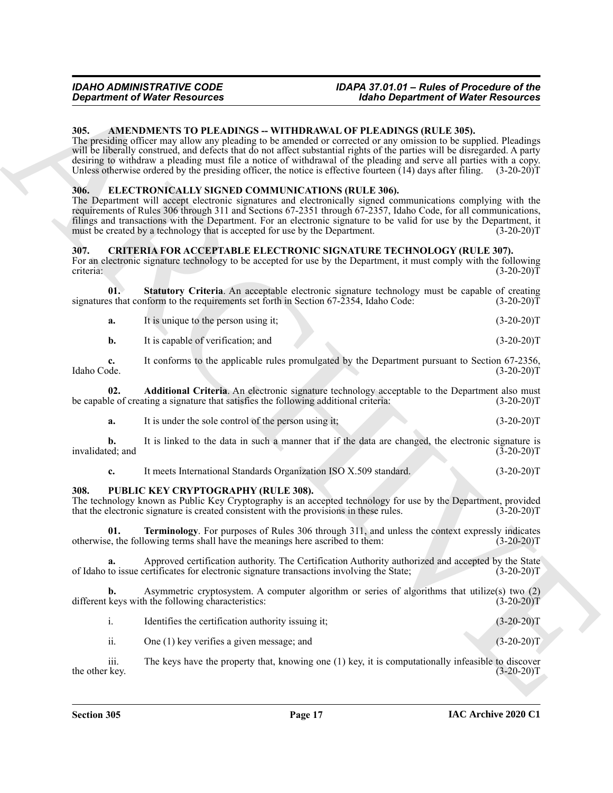#### <span id="page-16-4"></span><span id="page-16-0"></span>**305. AMENDMENTS TO PLEADINGS -- WITHDRAWAL OF PLEADINGS (RULE 305).**

The presiding officer may allow any pleading to be amended or corrected or any omission to be supplied. Pleadings will be liberally construed, and defects that do not affect substantial rights of the parties will be disregarded. A party desiring to withdraw a pleading must file a notice of withdrawal of the pleading and serve all parties with a copy. Unless otherwise ordered by the presiding officer, the notice is effective fourteen (14) days after filing. (3-20-20)T

#### <span id="page-16-8"></span><span id="page-16-1"></span>**306. ELECTRONICALLY SIGNED COMMUNICATIONS (RULE 306).**

**Equivariant of Water Resources<br>
36. (ABCN) NYMEN (September of Water Resources<br>
36. (ABCN) NYMEN (September of Mathematical September of Mathematical September of Mathematical September of the Context September of the Co** The Department will accept electronic signatures and electronically signed communications complying with the requirements of Rules 306 through 311 and Sections 67-2351 through 67-2357, Idaho Code, for all communications, filings and transactions with the Department. For an electronic signature to be valid for use by the Department, it must be created by a technology that is accepted for use by the Department. (3-20-20)T

#### <span id="page-16-5"></span><span id="page-16-2"></span>**307. CRITERIA FOR ACCEPTABLE ELECTRONIC SIGNATURE TECHNOLOGY (RULE 307).**

For an electronic signature technology to be accepted for use by the Department, it must comply with the following criteria:<br>(3-20-20) criteria: (3-20-20)T

**01. Statutory Criteria**. An acceptable electronic signature technology must be capable of creating signatures that conform to the requirements set forth in Section 67-2354, Idaho Code:  $(3-20-20)\tilde{T}$ 

<span id="page-16-7"></span>

|  | It is unique to the person using it; |  | $(3-20-20)T$ |
|--|--------------------------------------|--|--------------|
|--|--------------------------------------|--|--------------|

| It is capable of verification: and | $(3-20-20)T$ |
|------------------------------------|--------------|
|                                    |              |

**c.** It conforms to the applicable rules promulgated by the Department pursuant to Section 67-2356,<br>(3-20-20)T Idaho Code. (3-20-20)T

**02. Additional Criteria**. An electronic signature technology acceptable to the Department also must le of creating a signature that satisfies the following additional criteria: (3-20-20) be capable of creating a signature that satisfies the following additional criteria:

<span id="page-16-6"></span>**a.** It is under the sole control of the person using it; (3-20-20)T

**b.** It is linked to the data in such a manner that if the data are changed, the electronic signature is ed; and (3-20-20) invalidated; and

<span id="page-16-10"></span><span id="page-16-9"></span>**c.** It meets International Standards Organization ISO X.509 standard. (3-20-20)T

#### <span id="page-16-3"></span>**308. PUBLIC KEY CRYPTOGRAPHY (RULE 308).**

The technology known as Public Key Cryptography is an accepted technology for use by the Department, provided that the electronic signature is created consistent with the provisions in these rules. (3-20-20) that the electronic signature is created consistent with the provisions in these rules.

**01. Terminology**. For purposes of Rules 306 through 311, and unless the context expressly indicates otherwise, the following terms shall have the meanings here ascribed to them: (3-20-20)T

**a.** Approved certification authority. The Certification Authority authorized and accepted by the State to issue certificates for electronic signature transactions involving the State; (3-20-20)<sup>T</sup> of Idaho to issue certificates for electronic signature transactions involving the State;

Asymmetric cryptosystem. A computer algorithm or series of algorithms that utilize(s) two (2) h the following characteristics: (3-20-20)<sup>T</sup> different keys with the following characteristics:

| Identifies the certification authority issuing it; | $(3-20-20)T$ |
|----------------------------------------------------|--------------|
|                                                    |              |
| One $(1)$ key verifies a given message; and        | $(3-20-20)T$ |

iii. The keys have the property that, knowing one (1) key, it is computationally infeasible to discover key.  $(3-20-20)T$ the other key.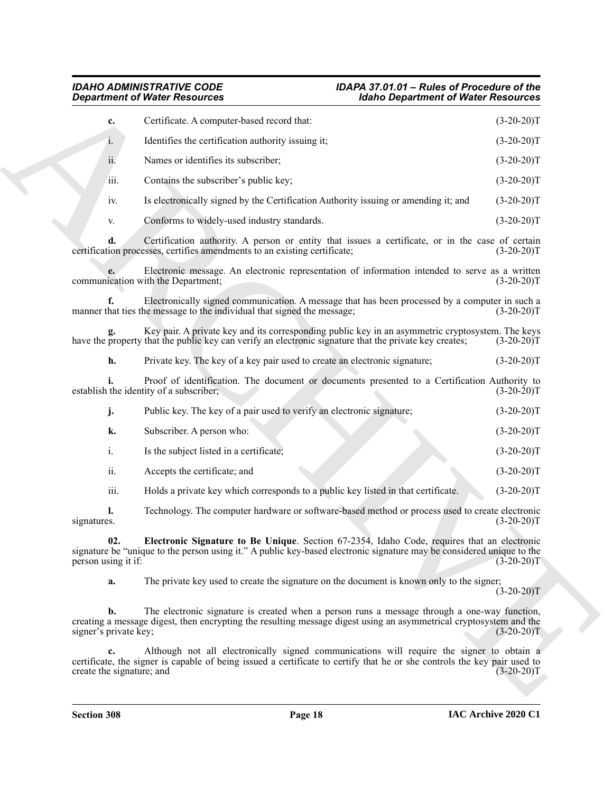<span id="page-17-0"></span>

|                                         | <b>Department of Water Resources</b>                                                                                                                                                                                  | <b>Idaho Department of Water Resources</b> |              |
|-----------------------------------------|-----------------------------------------------------------------------------------------------------------------------------------------------------------------------------------------------------------------------|--------------------------------------------|--------------|
| c.                                      | Certificate. A computer-based record that:                                                                                                                                                                            |                                            | $(3-20-20)T$ |
| 1.                                      | Identifies the certification authority issuing it;                                                                                                                                                                    |                                            | $(3-20-20)T$ |
| ii.                                     | Names or identifies its subscriber;                                                                                                                                                                                   |                                            | $(3-20-20)T$ |
| iii.                                    | Contains the subscriber's public key;                                                                                                                                                                                 |                                            | $(3-20-20)T$ |
| iv.                                     | Is electronically signed by the Certification Authority issuing or amending it; and                                                                                                                                   |                                            | $(3-20-20)T$ |
| V.                                      | Conforms to widely-used industry standards.                                                                                                                                                                           |                                            | $(3-20-20)T$ |
| d.                                      | Certification authority. A person or entity that issues a certificate, or in the case of certain<br>certification processes, certifies amendments to an existing certificate;                                         |                                            | $(3-20-20)T$ |
|                                         | Electronic message. An electronic representation of information intended to serve as a written<br>communication with the Department;                                                                                  |                                            | $(3-20-20)T$ |
|                                         | Electronically signed communication. A message that has been processed by a computer in such a<br>manner that ties the message to the individual that signed the message;                                             |                                            | $(3-20-20)T$ |
|                                         | Key pair. A private key and its corresponding public key in an asymmetric cryptosystem. The keys<br>have the property that the public key can verify an electronic signature that the private key creates;            |                                            | $(3-20-20)T$ |
| h.                                      | Private key. The key of a key pair used to create an electronic signature;                                                                                                                                            |                                            | $(3-20-20)T$ |
|                                         | Proof of identification. The document or documents presented to a Certification Authority to<br>establish the identity of a subscriber;                                                                               |                                            | $(3-20-20)T$ |
| j.                                      | Public key. The key of a pair used to verify an electronic signature;                                                                                                                                                 |                                            | $(3-20-20)T$ |
| k.                                      | Subscriber. A person who:                                                                                                                                                                                             |                                            | $(3-20-20)T$ |
| $\mathbf{i}$ .                          | Is the subject listed in a certificate;                                                                                                                                                                               |                                            | $(3-20-20)T$ |
| ii.                                     | Accepts the certificate; and                                                                                                                                                                                          |                                            | $(3-20-20)T$ |
| iii.                                    | Holds a private key which corresponds to a public key listed in that certificate.                                                                                                                                     |                                            | $(3-20-20)T$ |
| l.<br>signatures.                       | Technology. The computer hardware or software-based method or process used to create electronic                                                                                                                       |                                            | $(3-20-20)T$ |
| person using it if:                     | Electronic Signature to Be Unique. Section 67-2354, Idaho Code, requires that an electronic<br>signature be "unique to the person using it." A public key-based electronic signature may be considered unique to the  |                                            | $(3-20-20)T$ |
| a.                                      | The private key used to create the signature on the document is known only to the signer;                                                                                                                             |                                            | $(3-20-20)T$ |
| $\mathbf{b}$ .<br>signer's private key; | The electronic signature is created when a person runs a message through a one-way function,<br>creating a message digest, then encrypting the resulting message digest using an asymmetrical cryptosystem and the    |                                            | $(3-20-20)T$ |
| c.                                      | Although not all electronically signed communications will require the signer to obtain a<br>certificate, the signer is capable of being issued a certificate to certify that he or she controls the key pair used to |                                            | $(3-20-20)T$ |
| create the signature; and               |                                                                                                                                                                                                                       |                                            |              |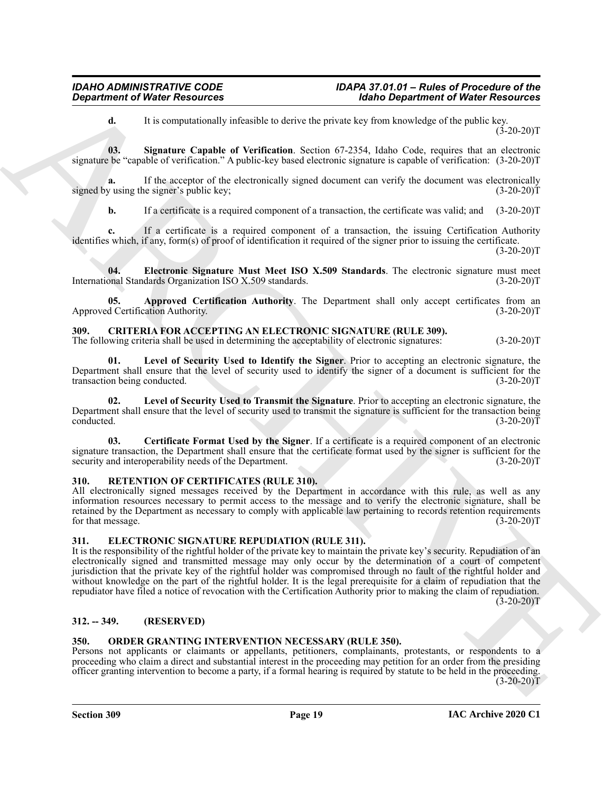<span id="page-18-13"></span>**d.** It is computationally infeasible to derive the private key from knowledge of the public key.  $(3-20-20)T$ 

**03. Signature Capable of Verification**. Section 67-2354, Idaho Code, requires that an electronic signature be "capable of verification." A public-key based electronic signature is capable of verification: (3-20-20)T

**a.** If the acceptor of the electronically signed document can verify the document was electronically y using the signer's public key; (3-20-20) signed by using the signer's public key;

<span id="page-18-12"></span>**b.** If a certificate is a required component of a transaction, the certificate was valid; and  $(3-20-20)$ T

**c.** If a certificate is a required component of a transaction, the issuing Certification Authority identifies which, if any, form(s) of proof of identification it required of the signer prior to issuing the certificate.

 $(3-20-20)T$ 

**04. Electronic Signature Must Meet ISO X.509 Standards**. The electronic signature must meet International Standards Organization ISO X.509 standards.

<span id="page-18-11"></span>**Approved Certification Authority**. The Department shall only accept certificates from an ation Authority. (3-20-20) Approved Certification Authority.

# <span id="page-18-5"></span><span id="page-18-0"></span>**309. CRITERIA FOR ACCEPTING AN ELECTRONIC SIGNATURE (RULE 309).**

The following criteria shall be used in determining the acceptability of electronic signatures: (3-20-20)T

<span id="page-18-7"></span>**01. Level of Security Used to Identify the Signer**. Prior to accepting an electronic signature, the Department shall ensure that the level of security used to identify the signer of a document is sufficient for the transaction being conducted. (3-20-20)T

<span id="page-18-8"></span>Level of Security Used to Transmit the Signature. Prior to accepting an electronic signature, the Department shall ensure that the level of security used to transmit the signature is sufficient for the transaction being conducted. (3-20-20)T

<span id="page-18-6"></span>**03. Certificate Format Used by the Signer**. If a certificate is a required component of an electronic signature transaction, the Department shall ensure that the certificate format used by the signer is sufficient for the security and interoperability needs of the Department. (3-20-20) security and interoperability needs of the Department.

# <span id="page-18-14"></span><span id="page-18-1"></span>**310. RETENTION OF CERTIFICATES (RULE 310).**

All electronically signed messages received by the Department in accordance with this rule, as well as any information resources necessary to permit access to the message and to verify the electronic signature, shall be retained by the Department as necessary to comply with applicable law pertaining to records retention requirements for that message. (3-20-20)T

# <span id="page-18-9"></span><span id="page-18-2"></span>**311. ELECTRONIC SIGNATURE REPUDIATION (RULE 311).**

*Department of Weier Resources*<br> **ARCHIVES ARCHIVES ARCHIVES CONTINUES ARCHIVES ARCHIVES ARCHIVES ARCHIVES ARCHIVES ARCHIVES ARCHIVES ARCHIVES ARCHIVES ARCHIVES ARCHIVES ARCHIVES ARCHIVES ARCHIVES ARCHIVES ARCHIVES ARCH** It is the responsibility of the rightful holder of the private key to maintain the private key's security. Repudiation of an electronically signed and transmitted message may only occur by the determination of a court of competent jurisdiction that the private key of the rightful holder was compromised through no fault of the rightful holder and without knowledge on the part of the rightful holder. It is the legal prerequisite for a claim of repudiation that the repudiator have filed a notice of revocation with the Certification Authority prior to making the claim of repudiation.  $(3-20-20)T$ 

# <span id="page-18-3"></span>**312. -- 349. (RESERVED)**

### <span id="page-18-10"></span><span id="page-18-4"></span>**350. ORDER GRANTING INTERVENTION NECESSARY (RULE 350).**

Persons not applicants or claimants or appellants, petitioners, complainants, protestants, or respondents to a proceeding who claim a direct and substantial interest in the proceeding may petition for an order from the presiding officer granting intervention to become a party, if a formal hearing is required by statute to be held in the proceeding.  $(3-20-20)T$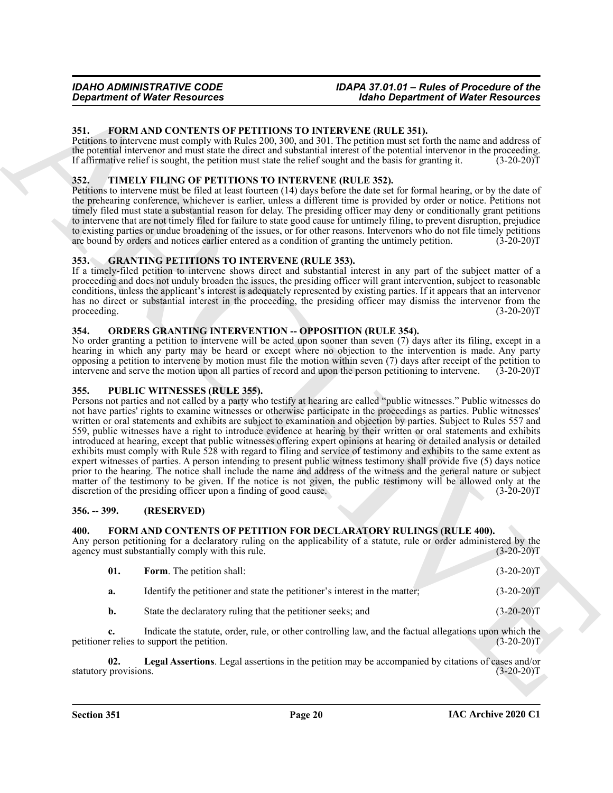### <span id="page-19-10"></span><span id="page-19-0"></span>**351. FORM AND CONTENTS OF PETITIONS TO INTERVENE (RULE 351).**

Petitions to intervene must comply with Rules 200, 300, and 301. The petition must set forth the name and address of the potential intervenor and must state the direct and substantial interest of the potential intervenor in the proceeding. If affirmative relief is sought, the petition must state the relief sought and the basis for granting it. (3-20-20)T

### <span id="page-19-14"></span><span id="page-19-1"></span>**352. TIMELY FILING OF PETITIONS TO INTERVENE (RULE 352).**

Petitions to intervene must be filed at least fourteen (14) days before the date set for formal hearing, or by the date of the prehearing conference, whichever is earlier, unless a different time is provided by order or notice. Petitions not timely filed must state a substantial reason for delay. The presiding officer may deny or conditionally grant petitions to intervene that are not timely filed for failure to state good cause for untimely filing, to prevent disruption, prejudice to existing parties or undue broadening of the issues, or for other reasons. Intervenors who do not file timely petitions are bound by orders and notices earlier entered as a condition of granting the untimely petition. (3 are bound by orders and notices earlier entered as a condition of granting the untimely petition.

#### <span id="page-19-11"></span><span id="page-19-2"></span>**353. GRANTING PETITIONS TO INTERVENE (RULE 353).**

If a timely-filed petition to intervene shows direct and substantial interest in any part of the subject matter of a proceeding and does not unduly broaden the issues, the presiding officer will grant intervention, subject to reasonable conditions, unless the applicant's interest is adequately represented by existing parties. If it appears that an intervenor has no direct or substantial interest in the proceeding, the presiding officer may dismiss the intervenor from the proceeding.  $(3-20-20)T$ 

### <span id="page-19-12"></span><span id="page-19-3"></span>**354. ORDERS GRANTING INTERVENTION -- OPPOSITION (RULE 354).**

No order granting a petition to intervene will be acted upon sooner than seven (7) days after its filing, except in a hearing in which any party may be heard or except where no objection to the intervention is made. Any party opposing a petition to intervene by motion must file the motion within seven (7) days after receipt of the petition to intervene and serve the motion upon all parties of record and upon the person petitioning to intervene. (3-20-20)T

#### <span id="page-19-13"></span><span id="page-19-4"></span>**355. PUBLIC WITNESSES (RULE 355).**

*Great free Resources* **Altimate Consumers Altimate Consumersion Altimate Consumersion Altimate Consumersion B**<br> **SECURE TO A NOTIFICATE CONSUMER CONSUMERATION CONSUMER CONSUMER CONSUMER TO A NOT A NOT A NOT A N** Persons not parties and not called by a party who testify at hearing are called "public witnesses." Public witnesses do not have parties' rights to examine witnesses or otherwise participate in the proceedings as parties. Public witnesses' written or oral statements and exhibits are subject to examination and objection by parties. Subject to Rules 557 and 559, public witnesses have a right to introduce evidence at hearing by their written or oral statements and exhibits introduced at hearing, except that public witnesses offering expert opinions at hearing or detailed analysis or detailed exhibits must comply with Rule 528 with regard to filing and service of testimony and exhibits to the same extent as expert witnesses of parties. A person intending to present public witness testimony shall provide five (5) days notice prior to the hearing. The notice shall include the name and address of the witness and the general nature or subject matter of the testimony to be given. If the notice is not given, the public testimony will be allowed only at the discretion of the presiding officer upon a finding of good cause. (3-20-20)T

#### <span id="page-19-5"></span>**356. -- 399. (RESERVED)**

#### <span id="page-19-7"></span><span id="page-19-6"></span>**400. FORM AND CONTENTS OF PETITION FOR DECLARATORY RULINGS (RULE 400).**

Any person petitioning for a declaratory ruling on the applicability of a statute, rule or order administered by the agency must substantially comply with this rule. (3-20-20) agency must substantially comply with this rule.

<span id="page-19-8"></span>

| 01.       | <b>Form.</b> The petition shall:                                           | $(3-20-20)T$ |
|-----------|----------------------------------------------------------------------------|--------------|
| а.        | Identify the petitioner and state the petitioner's interest in the matter; | $(3-20-20)T$ |
| <b>b.</b> | State the declaratory ruling that the petitioner seeks; and                | $(3-20-20)T$ |

**c.** Indicate the statute, order, rule, or other controlling law, and the factual allegations upon which the petitioner relies to support the petition. (3-20-20)T

<span id="page-19-9"></span>**02.** Legal Assertions. Legal assertions in the petition may be accompanied by citations of cases and/or provisions.  $(3-20-20)T$ statutory provisions.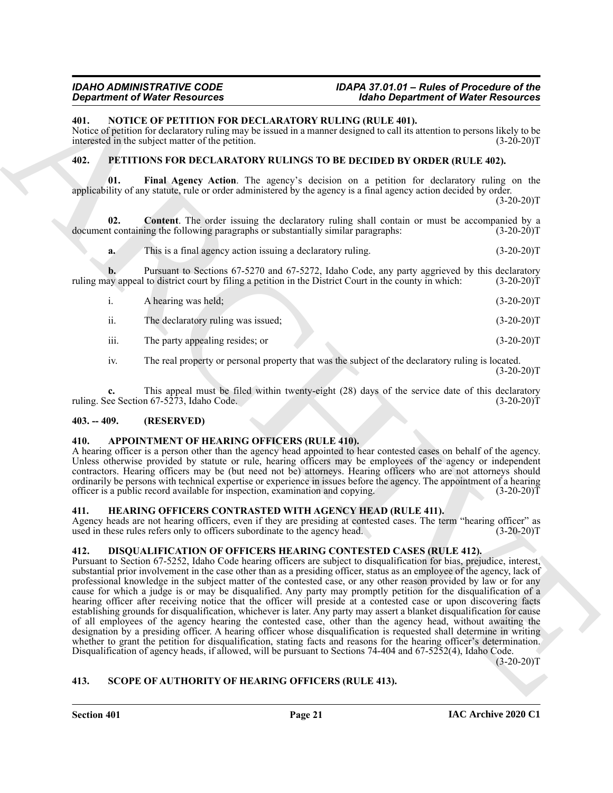### <span id="page-20-10"></span><span id="page-20-0"></span>**401. NOTICE OF PETITION FOR DECLARATORY RULING (RULE 401).**

Notice of petition for declaratory ruling may be issued in a manner designed to call its attention to persons likely to be interested in the subject matter of the petition. (3-20-20)T

#### <span id="page-20-13"></span><span id="page-20-11"></span><span id="page-20-1"></span>**402. PETITIONS FOR DECLARATORY RULINGS TO BE DECIDED BY ORDER (RULE 402).**

**01. Final Agency Action**. The agency's decision on a petition for declaratory ruling on the applicability of any statute, rule or order administered by the agency is a final agency action decided by order.

 $(3-20-20)T$ 

**02. Content**. The order issuing the declaratory ruling shall contain or must be accompanied by a document containing the following paragraphs or substantially similar paragraphs: (3-20-20)T

<span id="page-20-12"></span>**a.** This is a final agency action issuing a declaratory ruling. (3-20-20)T

**b.** Pursuant to Sections 67-5270 and 67-5272, Idaho Code, any party aggrieved by this declaratory ay appeal to district court by filing a petition in the District Court in the county in which: (3-20-20) ruling may appeal to district court by filing a petition in the District Court in the county in which:

|      | A hearing was held;                | $(3-20-20)T$ |
|------|------------------------------------|--------------|
| ii.  | The declaratory ruling was issued; | $(3-20-20)T$ |
| iii. | The party appealing resides; or    | $(3-20-20)T$ |

iv. The real property or personal property that was the subject of the declaratory ruling is located.  $(3-20-20)T$ 

**c.** This appeal must be filed within twenty-eight (28) days of the service date of this declaratory ruling. See Section 67-5273, Idaho Code. (3-20-20)T

# <span id="page-20-2"></span>**403. -- 409. (RESERVED)**

#### <span id="page-20-7"></span><span id="page-20-3"></span>**410. APPOINTMENT OF HEARING OFFICERS (RULE 410).**

A hearing officer is a person other than the agency head appointed to hear contested cases on behalf of the agency. Unless otherwise provided by statute or rule, hearing officers may be employees of the agency or independent contractors. Hearing officers may be (but need not be) attorneys. Hearing officers who are not attorneys should ordinarily be persons with technical expertise or experience in issues before the agency. The appointment of a hearing officer is a public record available for inspection, examination and copying.  $(3-20-20)\bar{T}$ 

#### <span id="page-20-9"></span><span id="page-20-4"></span>**411. HEARING OFFICERS CONTRASTED WITH AGENCY HEAD (RULE 411).**

Agency heads are not hearing officers, even if they are presiding at contested cases. The term "hearing officer" as used in these rules refers only to officers subordinate to the agency head. (3-20-20)T

# <span id="page-20-8"></span><span id="page-20-5"></span>**412. DISQUALIFICATION OF OFFICERS HEARING CONTESTED CASES (RULE 412).**

**Strainer of Water Securities were consistent and the Disputerios of Water Resources<br>
401. NOTEC IO PETTITON YOU BACLARATION RULING URLEAD AND RESOURCES RESOURCES RESOURCES NAMES (EVERY THE SECTION AND RESOURCE THE SECTIO** Pursuant to Section 67-5252, Idaho Code hearing officers are subject to disqualification for bias, prejudice, interest, substantial prior involvement in the case other than as a presiding officer, status as an employee of the agency, lack of professional knowledge in the subject matter of the contested case, or any other reason provided by law or for any cause for which a judge is or may be disqualified. Any party may promptly petition for the disqualification of a hearing officer after receiving notice that the officer will preside at a contested case or upon discovering facts establishing grounds for disqualification, whichever is later. Any party may assert a blanket disqualification for cause of all employees of the agency hearing the contested case, other than the agency head, without awaiting the designation by a presiding officer. A hearing officer whose disqualification is requested shall determine in writing whether to grant the petition for disqualification, stating facts and reasons for the hearing officer's determination. Disqualification of agency heads, if allowed, will be pursuant to Sections 74-404 and 67-5252(4), Idaho Code.

 $(3-20-20)T$ 

# <span id="page-20-14"></span><span id="page-20-6"></span>**413. SCOPE OF AUTHORITY OF HEARING OFFICERS (RULE 413).**

**Section 401 Page 21**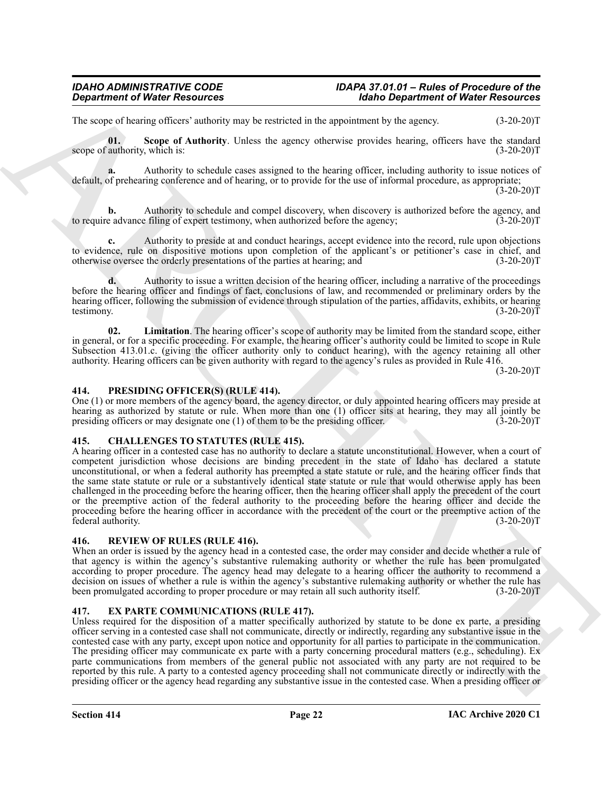The scope of hearing officers' authority may be restricted in the appointment by the agency. (3-20-20)T

<span id="page-21-9"></span>**01.** Scope of Authority. Unless the agency otherwise provides hearing, officers have the standard authority, which is: (3-20-20) scope of authority, which is:

**a.** Authority to schedule cases assigned to the hearing officer, including authority to issue notices of default, of prehearing conference and of hearing, or to provide for the use of informal procedure, as appropriate;  $(3-20-20)$ T

Authority to schedule and compel discovery, when discovery is authorized before the agency, and  $\hat{\text{f}}$  filing of expert testimony, when authorized before the agency; (3-20-20)<sup>T</sup> to require advance filing of expert testimony, when authorized before the agency;

**c.** Authority to preside at and conduct hearings, accept evidence into the record, rule upon objections to evidence, rule on dispositive motions upon completion of the applicant's or petitioner's case in chief, and otherwise oversee the orderly presentations of the parties at hearing; and (3-20-20)T

**d.** Authority to issue a written decision of the hearing officer, including a narrative of the proceedings before the hearing officer and findings of fact, conclusions of law, and recommended or preliminary orders by the hearing officer, following the submission of evidence through stipulation of the parties, affidavits, exhibits, or hearing testimony.  $(3-20-20)T$ 

<span id="page-21-8"></span>**02. Limitation**. The hearing officer's scope of authority may be limited from the standard scope, either in general, or for a specific proceeding. For example, the hearing officer's authority could be limited to scope in Rule Subsection 413.01.c. (giving the officer authority only to conduct hearing), with the agency retaining all other authority. Hearing officers can be given authority with regard to the agency's rules as provided in Rule 416.

 $(3-20-20)T$ 

#### <span id="page-21-6"></span><span id="page-21-0"></span>**414. PRESIDING OFFICER(S) (RULE 414).**

One (1) or more members of the agency board, the agency director, or duly appointed hearing officers may preside at hearing as authorized by statute or rule. When more than one (1) officer sits at hearing, they may all jointly be presiding officers or may designate one (1) of them to be the presiding officer. (3-20-20) presiding officers or may designate one  $(1)$  of them to be the presiding officer.

#### <span id="page-21-4"></span><span id="page-21-1"></span>**415. CHALLENGES TO STATUTES (RULE 415).**

**Department of Water Resources** <sup>22</sup> Make *Beginning* to *Make Beginning* of Water Resources<br>
The same of such a statistic statistic statistic statistic statistic statistic statistic statistic statistic statistic statisti A hearing officer in a contested case has no authority to declare a statute unconstitutional. However, when a court of competent jurisdiction whose decisions are binding precedent in the state of Idaho has declared a statute unconstitutional, or when a federal authority has preempted a state statute or rule, and the hearing officer finds that the same state statute or rule or a substantively identical state statute or rule that would otherwise apply has been challenged in the proceeding before the hearing officer, then the hearing officer shall apply the precedent of the court or the preemptive action of the federal authority to the proceeding before the hearing officer and decide the proceeding before the hearing officer in accordance with the precedent of the court or the preemptive action of the federal authority. (3-20-20)T

#### <span id="page-21-7"></span><span id="page-21-2"></span>**416. REVIEW OF RULES (RULE 416).**

When an order is issued by the agency head in a contested case, the order may consider and decide whether a rule of that agency is within the agency's substantive rulemaking authority or whether the rule has been promulgated according to proper procedure. The agency head may delegate to a hearing officer the authority to recommend a decision on issues of whether a rule is within the agency's substantive rulemaking authority or whether the rule has been promulgated according to proper procedure or may retain all such authority itself. (3-20-20)T

# <span id="page-21-5"></span><span id="page-21-3"></span>**417. EX PARTE COMMUNICATIONS (RULE 417).**

Unless required for the disposition of a matter specifically authorized by statute to be done ex parte, a presiding officer serving in a contested case shall not communicate, directly or indirectly, regarding any substantive issue in the contested case with any party, except upon notice and opportunity for all parties to participate in the communication. The presiding officer may communicate ex parte with a party concerning procedural matters (e.g., scheduling). Ex parte communications from members of the general public not associated with any party are not required to be reported by this rule. A party to a contested agency proceeding shall not communicate directly or indirectly with the presiding officer or the agency head regarding any substantive issue in the contested case. When a presiding officer or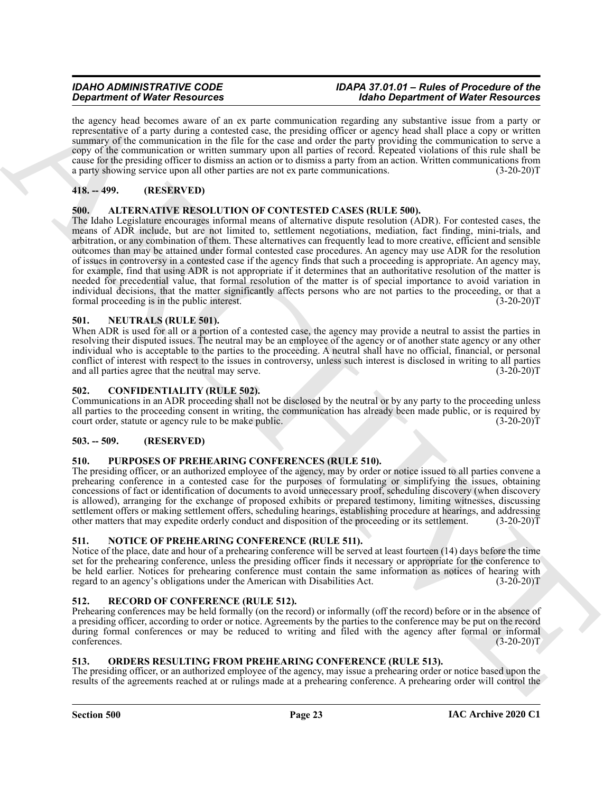the agency head becomes aware of an ex parte communication regarding any substantive issue from a party or representative of a party during a contested case, the presiding officer or agency head shall place a copy or written summary of the communication in the file for the case and order the party providing the communication to serve a copy of the communication or written summary upon all parties of record. Repeated violations of this rule shall be cause for the presiding officer to dismiss an action or to dismiss a party from an action. Written communications from a party showing service upon all other parties are not ex parte communications. (3-20-20)T

# <span id="page-22-0"></span>**418. -- 499. (RESERVED)**

#### <span id="page-22-9"></span><span id="page-22-1"></span>**500. ALTERNATIVE RESOLUTION OF CONTESTED CASES (RULE 500).**

**Equivalent of Wine Resources** on the particular the **Holometrical control in the state of Wine Resources of the state of the state of the state of the state of the state of the state of the state of the state of the stat** The Idaho Legislature encourages informal means of alternative dispute resolution (ADR). For contested cases, the means of ADR include, but are not limited to, settlement negotiations, mediation, fact finding, mini-trials, and arbitration, or any combination of them. These alternatives can frequently lead to more creative, efficient and sensible outcomes than may be attained under formal contested case procedures. An agency may use ADR for the resolution of issues in controversy in a contested case if the agency finds that such a proceeding is appropriate. An agency may, for example, find that using ADR is not appropriate if it determines that an authoritative resolution of the matter is needed for precedential value, that formal resolution of the matter is of special importance to avoid variation in individual decisions, that the matter significantly affects persons who are not parties to the proceeding, or that a formal proceeding is in the public interest. (3-20-20)T

#### <span id="page-22-11"></span><span id="page-22-2"></span>**501. NEUTRALS (RULE 501).**

When ADR is used for all or a portion of a contested case, the agency may provide a neutral to assist the parties in resolving their disputed issues. The neutral may be an employee of the agency or of another state agency or any other individual who is acceptable to the parties to the proceeding. A neutral shall have no official, financial, or personal conflict of interest with respect to the issues in controversy, unless such interest is disclosed in writing to all parties and all parties agree that the neutral may serve.

#### <span id="page-22-10"></span><span id="page-22-3"></span>**502. CONFIDENTIALITY (RULE 502).**

Communications in an ADR proceeding shall not be disclosed by the neutral or by any party to the proceeding unless all parties to the proceeding consent in writing, the communication has already been made public, or is required by court order, statute or agency rule to be make public. (3-20-20) court order, statute or agency rule to be make public.

# <span id="page-22-4"></span>**503. -- 509. (RESERVED)**

#### <span id="page-22-14"></span><span id="page-22-5"></span>**510. PURPOSES OF PREHEARING CONFERENCES (RULE 510).**

The presiding officer, or an authorized employee of the agency, may by order or notice issued to all parties convene a prehearing conference in a contested case for the purposes of formulating or simplifying the issues, obtaining concessions of fact or identification of documents to avoid unnecessary proof, scheduling discovery (when discovery is allowed), arranging for the exchange of proposed exhibits or prepared testimony, limiting witnesses, discussing settlement offers or making settlement offers, scheduling hearings, establishing procedure at hearings, and addressing other matters that may expedite orderly conduct and disposition of the proceeding or its settlement. (3-20-20)T

#### <span id="page-22-12"></span><span id="page-22-6"></span>**511. NOTICE OF PREHEARING CONFERENCE (RULE 511).**

Notice of the place, date and hour of a prehearing conference will be served at least fourteen (14) days before the time set for the prehearing conference, unless the presiding officer finds it necessary or appropriate for the conference to be held earlier. Notices for prehearing conference must contain the same information as notices of hearing with regard to an agency's obligations under the American with Disabilities Act. (3-20-20)T

# <span id="page-22-15"></span><span id="page-22-7"></span>**512. RECORD OF CONFERENCE (RULE 512).**

Prehearing conferences may be held formally (on the record) or informally (off the record) before or in the absence of a presiding officer, according to order or notice. Agreements by the parties to the conference may be put on the record during formal conferences or may be reduced to writing and filed with the agency after formal or informal conferences. (3-20-20)T

# <span id="page-22-13"></span><span id="page-22-8"></span>**513. ORDERS RESULTING FROM PREHEARING CONFERENCE (RULE 513).**

The presiding officer, or an authorized employee of the agency, may issue a prehearing order or notice based upon the results of the agreements reached at or rulings made at a prehearing conference. A prehearing order will control the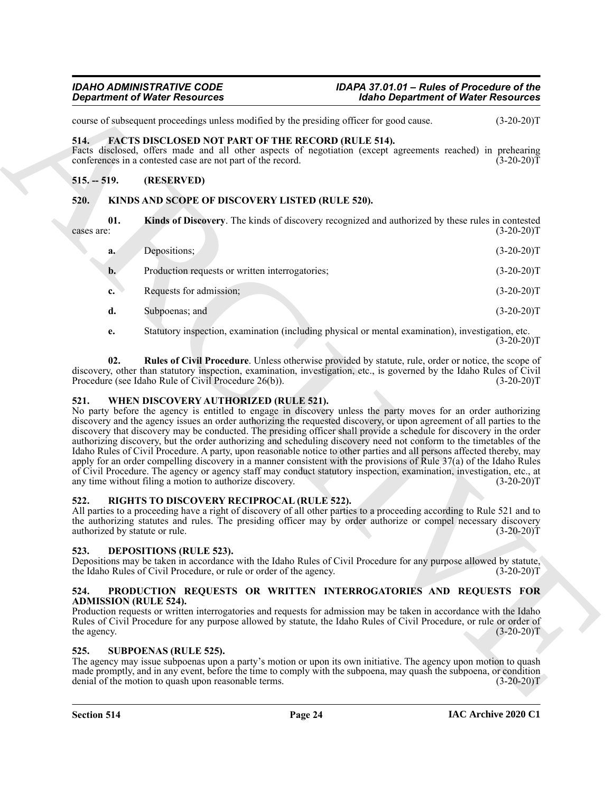course of subsequent proceedings unless modified by the presiding officer for good cause. (3-20-20)T

# <span id="page-23-9"></span><span id="page-23-0"></span>**514. FACTS DISCLOSED NOT PART OF THE RECORD (RULE 514).**

Facts disclosed, offers made and all other aspects of negotiation (except agreements reached) in prehearing conferences in a contested case are not part of the record. (3-20-20)T

# <span id="page-23-1"></span>**515. -- 519. (RESERVED)**

# <span id="page-23-10"></span><span id="page-23-2"></span>**520. KINDS AND SCOPE OF DISCOVERY LISTED (RULE 520).**

**01. Kinds of Discovery**. The kinds of discovery recognized and authorized by these rules in contested  $\csc$  are: (3-20-20)T

<span id="page-23-11"></span>

| a. | Depositions;                                    | $(3-20-20)T$ |
|----|-------------------------------------------------|--------------|
| b. | Production requests or written interrogatories; | $(3-20-20)T$ |
| c. | Requests for admission;                         | $(3-20-20)T$ |
| d. | Subpoenas; and                                  | $(3-20-20)T$ |

<span id="page-23-12"></span>**e.** Statutory inspection, examination (including physical or mental examination), investigation, etc.  $(3-20-20)T$ 

**02. Rules of Civil Procedure**. Unless otherwise provided by statute, rule, order or notice, the scope of discovery, other than statutory inspection, examination, investigation, etc., is governed by the Idaho Rules of Civil Procedure (see Idaho Rule of Civil Procedure 26(b)). (3-20-20)T

# <span id="page-23-16"></span><span id="page-23-3"></span>**521. WHEN DISCOVERY AUTHORIZED (RULE 521).**

**Expansion of Water Resources**<br>
State Disparameter of Water Resources<br>
State Disparameter provides to the previous model of the previous model of the state<br>
ARCHIVES TRANS ARCHIVES NOT AND TO PERFECT OF THE RECORD (REFERE No party before the agency is entitled to engage in discovery unless the party moves for an order authorizing discovery and the agency issues an order authorizing the requested discovery, or upon agreement of all parties to the discovery that discovery may be conducted. The presiding officer shall provide a schedule for discovery in the order authorizing discovery, but the order authorizing and scheduling discovery need not conform to the timetables of the Idaho Rules of Civil Procedure. A party, upon reasonable notice to other parties and all persons affected thereby, may apply for an order compelling discovery in a manner consistent with the provisions of Rule 37(a) of the Idaho Rules of Civil Procedure. The agency or agency staff may conduct statutory inspection, examination, investigation, etc., at any time without filing a motion to authorize discovery.

# <span id="page-23-14"></span><span id="page-23-4"></span>**522. RIGHTS TO DISCOVERY RECIPROCAL (RULE 522).**

All parties to a proceeding have a right of discovery of all other parties to a proceeding according to Rule 521 and to the authorizing statutes and rules. The presiding officer may by order authorize or compel necessary discovery authorized by statute or rule. (3-20-20)T

# <span id="page-23-8"></span><span id="page-23-5"></span>**523. DEPOSITIONS (RULE 523).**

Depositions may be taken in accordance with the Idaho Rules of Civil Procedure for any purpose allowed by statute, the Idaho Rules of Civil Procedure, or rule or order of the agency. (3-20-20) the Idaho Rules of Civil Procedure, or rule or order of the agency.

# <span id="page-23-13"></span><span id="page-23-6"></span>**524. PRODUCTION REQUESTS OR WRITTEN INTERROGATORIES AND REQUESTS FOR ADMISSION (RULE 524).**

Production requests or written interrogatories and requests for admission may be taken in accordance with the Idaho Rules of Civil Procedure for any purpose allowed by statute, the Idaho Rules of Civil Procedure, or rule or order of the agency.  $(3-20-20)T$ 

# <span id="page-23-15"></span><span id="page-23-7"></span>**525. SUBPOENAS (RULE 525).**

The agency may issue subpoenas upon a party's motion or upon its own initiative. The agency upon motion to quash made promptly, and in any event, before the time to comply with the subpoena, may quash the subpoena, or condition denial of the motion to quash upon reasonable terms. (3-20-20)T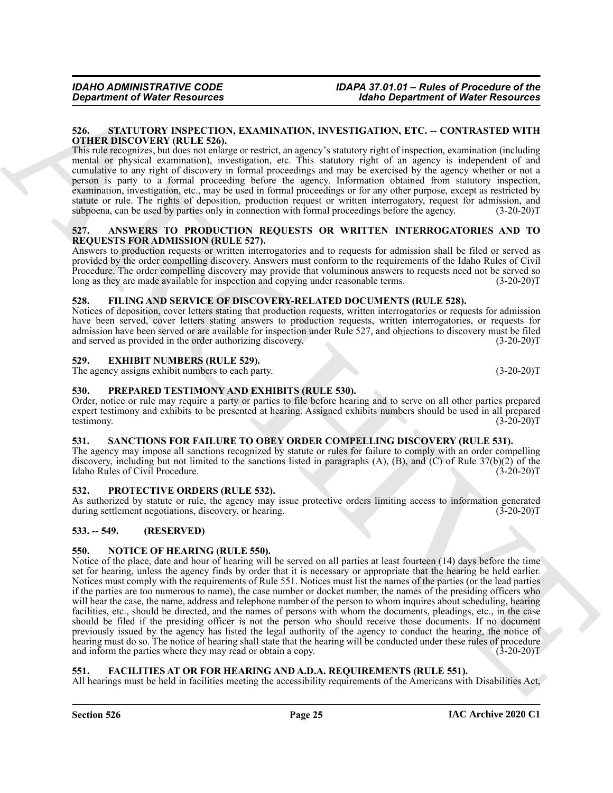#### <span id="page-24-18"></span><span id="page-24-0"></span>**526. STATUTORY INSPECTION, EXAMINATION, INVESTIGATION, ETC. -- CONTRASTED WITH OTHER DISCOVERY (RULE 526).**

This rule recognizes, but does not enlarge or restrict, an agency's statutory right of inspection, examination (including mental or physical examination), investigation, etc. This statutory right of an agency is independent of and cumulative to any right of discovery in formal proceedings and may be exercised by the agency whether or not a person is party to a formal proceeding before the agency. Information obtained from statutory inspection, examination, investigation, etc., may be used in formal proceedings or for any other purpose, except as restricted by statute or rule. The rights of deposition, production request or written interrogatory, request for admission, and subpoena, can be used by parties only in connection with formal proceedings before the agency. (3-20-20)T

#### <span id="page-24-10"></span><span id="page-24-1"></span>**527. ANSWERS TO PRODUCTION REQUESTS OR WRITTEN INTERROGATORIES AND TO REQUESTS FOR ADMISSION (RULE 527).**

Answers to production requests or written interrogatories and to requests for admission shall be filed or served as provided by the order compelling discovery. Answers must conform to the requirements of the Idaho Rules of Civil Procedure. The order compelling discovery may provide that voluminous answers to requests need not be served so long as they are made available for inspection and copying under reasonable terms. (3-20-20)T long as they are made available for inspection and copying under reasonable terms.

# <span id="page-24-13"></span><span id="page-24-2"></span>**528. FILING AND SERVICE OF DISCOVERY-RELATED DOCUMENTS (RULE 528).**

Notices of deposition, cover letters stating that production requests, written interrogatories or requests for admission have been served, cover letters stating answers to production requests, written interrogatories, or requests for admission have been served or are available for inspection under Rule 527, and objections to discovery must be filed and served as provided in the order authorizing discovery. (3-20-20) and served as provided in the order authorizing discovery.

# <span id="page-24-11"></span><span id="page-24-3"></span>**529. EXHIBIT NUMBERS (RULE 529).**

The agency assigns exhibit numbers to each party. (3-20-20)T

# <span id="page-24-15"></span><span id="page-24-4"></span>**530. PREPARED TESTIMONY AND EXHIBITS (RULE 530).**

Order, notice or rule may require a party or parties to file before hearing and to serve on all other parties prepared expert testimony and exhibits to be presented at hearing. Assigned exhibits numbers should be used in all prepared testimony. (3-20-20)T testimony. (3-20-20)T

# <span id="page-24-17"></span><span id="page-24-5"></span>**531. SANCTIONS FOR FAILURE TO OBEY ORDER COMPELLING DISCOVERY (RULE 531).**

The agency may impose all sanctions recognized by statute or rules for failure to comply with an order compelling discovery, including but not limited to the sanctions listed in paragraphs (A), (B), and (C) of Rule 37(b)(2) of the Idaho Rules of Civil Procedure. (3-20-20)T

# <span id="page-24-16"></span><span id="page-24-6"></span>**532. PROTECTIVE ORDERS (RULE 532).**

As authorized by statute or rule, the agency may issue protective orders limiting access to information generated during settlement negotiations, discovery, or hearing. (3-20-20) during settlement negotiations, discovery, or hearing.

# <span id="page-24-7"></span>**533. -- 549. (RESERVED)**

# <span id="page-24-14"></span><span id="page-24-8"></span>**550. NOTICE OF HEARING (RULE 550).**

*General of Weier Resources FRACHIVES* **<b>***BALLARY CONFIGURATION CONFIGURATION CONFIGURATION CONFIGURATION CONFIGURATION CONFIGURATION CONFIGURATION CONFIGURATION CONFIGURATION CONFIGURATION CONFIGURATION CONFIGURATION* Notice of the place, date and hour of hearing will be served on all parties at least fourteen (14) days before the time set for hearing, unless the agency finds by order that it is necessary or appropriate that the hearing be held earlier. Notices must comply with the requirements of Rule 551. Notices must list the names of the parties (or the lead parties if the parties are too numerous to name), the case number or docket number, the names of the presiding officers who will hear the case, the name, address and telephone number of the person to whom inquires about scheduling, hearing facilities, etc., should be directed, and the names of persons with whom the documents, pleadings, etc., in the case should be filed if the presiding officer is not the person who should receive those documents. If no document previously issued by the agency has listed the legal authority of the agency to conduct the hearing, the notice of hearing must do so. The notice of hearing shall state that the hearing will be conducted under these rules of procedure and inform the parties where they may read or obtain a copy. (3-20-20)T

# <span id="page-24-12"></span><span id="page-24-9"></span>**551. FACILITIES AT OR FOR HEARING AND A.D.A. REQUIREMENTS (RULE 551).**

All hearings must be held in facilities meeting the accessibility requirements of the Americans with Disabilities Act,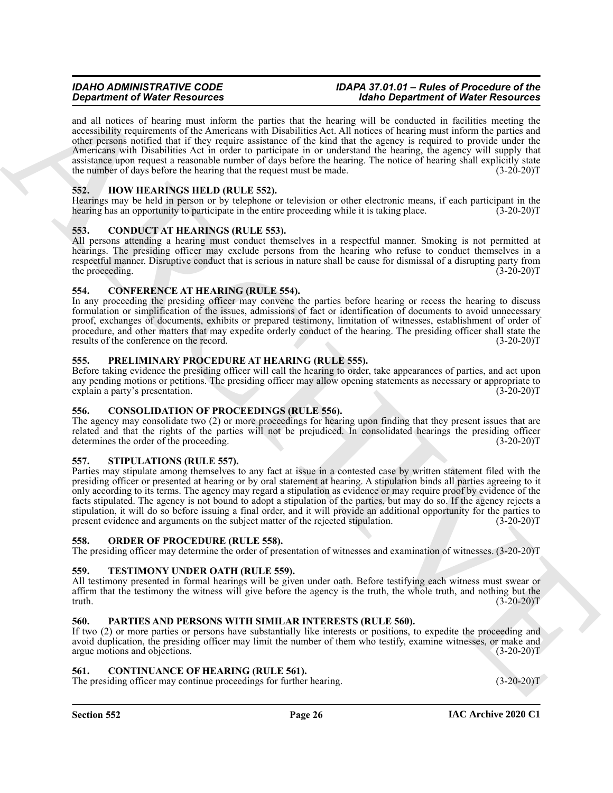and all notices of hearing must inform the parties that the hearing will be conducted in facilities meeting the accessibility requirements of the Americans with Disabilities Act. All notices of hearing must inform the parties and other persons notified that if they require assistance of the kind that the agency is required to provide under the Americans with Disabilities Act in order to participate in or understand the hearing, the agency will supply that assistance upon request a reasonable number of days before the hearing. The notice of hearing shall explicitly state the number of days before the hearing that the request must be made. (3-20-20)T

# <span id="page-25-14"></span><span id="page-25-0"></span>**552. HOW HEARINGS HELD (RULE 552).**

Hearings may be held in person or by telephone or television or other electronic means, if each participant in the hearing has an opportunity to participate in the entire proceeding while it is taking place. (3-20-20)T

# <span id="page-25-10"></span><span id="page-25-1"></span>**553. CONDUCT AT HEARINGS (RULE 553).**

All persons attending a hearing must conduct themselves in a respectful manner. Smoking is not permitted at hearings. The presiding officer may exclude persons from the hearing who refuse to conduct themselves in a respectful manner. Disruptive conduct that is serious in nature shall be cause for dismissal of a disrupting party from<br>(3-20-20)T the proceeding.

# <span id="page-25-11"></span><span id="page-25-2"></span>**554. CONFERENCE AT HEARING (RULE 554).**

In any proceeding the presiding officer may convene the parties before hearing or recess the hearing to discuss formulation or simplification of the issues, admissions of fact or identification of documents to avoid unnecessary proof, exchanges of documents, exhibits or prepared testimony, limitation of witnesses, establishment of order of procedure, and other matters that may expedite orderly conduct of the hearing. The presiding officer shall state the results of the conference on the record. (3-20-20) results of the conference on the record.

# <span id="page-25-17"></span><span id="page-25-3"></span>**555. PRELIMINARY PROCEDURE AT HEARING (RULE 555).**

Before taking evidence the presiding officer will call the hearing to order, take appearances of parties, and act upon any pending motions or petitions. The presiding officer may allow opening statements as necessary or appropriate to explain a party's presentation. (3-20-20) explain a party's presentation.

# <span id="page-25-12"></span><span id="page-25-4"></span>**556. CONSOLIDATION OF PROCEEDINGS (RULE 556).**

The agency may consolidate two (2) or more proceedings for hearing upon finding that they present issues that are related and that the rights of the parties will not be prejudiced. In consolidated hearings the presiding officer determines the order of the proceeding. (3-20-20)T

# <span id="page-25-18"></span><span id="page-25-5"></span>**557. STIPULATIONS (RULE 557).**

Graduation of Ware Research and the probability that is the bottom of Warbor Control of Warbor Control of Warbor Control of Warbor Control of Warbor Control of Warbor Control of Warbor Control of Warbor Control of Warbor Parties may stipulate among themselves to any fact at issue in a contested case by written statement filed with the presiding officer or presented at hearing or by oral statement at hearing. A stipulation binds all parties agreeing to it only according to its terms. The agency may regard a stipulation as evidence or may require proof by evidence of the facts stipulated. The agency is not bound to adopt a stipulation of the parties, but may do so. If the agency rejects a stipulation, it will do so before issuing a final order, and it will provide an additional opportunity for the parties to present evidence and arguments on the subject matter of the rejected stipulation. (3-20-20)T

# <span id="page-25-15"></span><span id="page-25-6"></span>**558. ORDER OF PROCEDURE (RULE 558).**

The presiding officer may determine the order of presentation of witnesses and examination of witnesses. (3-20-20)T

# <span id="page-25-19"></span><span id="page-25-7"></span>**559. TESTIMONY UNDER OATH (RULE 559).**

All testimony presented in formal hearings will be given under oath. Before testifying each witness must swear or affirm that the testimony the witness will give before the agency is the truth, the whole truth, and nothing but the truth.  $(3\text{-}20\text{-}20)$ T

# <span id="page-25-16"></span><span id="page-25-8"></span>**560. PARTIES AND PERSONS WITH SIMILAR INTERESTS (RULE 560).**

If two (2) or more parties or persons have substantially like interests or positions, to expedite the proceeding and avoid duplication, the presiding officer may limit the number of them who testify, examine witnesses, or make and argue motions and objections. (3-20-20)T

# <span id="page-25-13"></span><span id="page-25-9"></span>**561. CONTINUANCE OF HEARING (RULE 561).**

The presiding officer may continue proceedings for further hearing. (3-20-20)T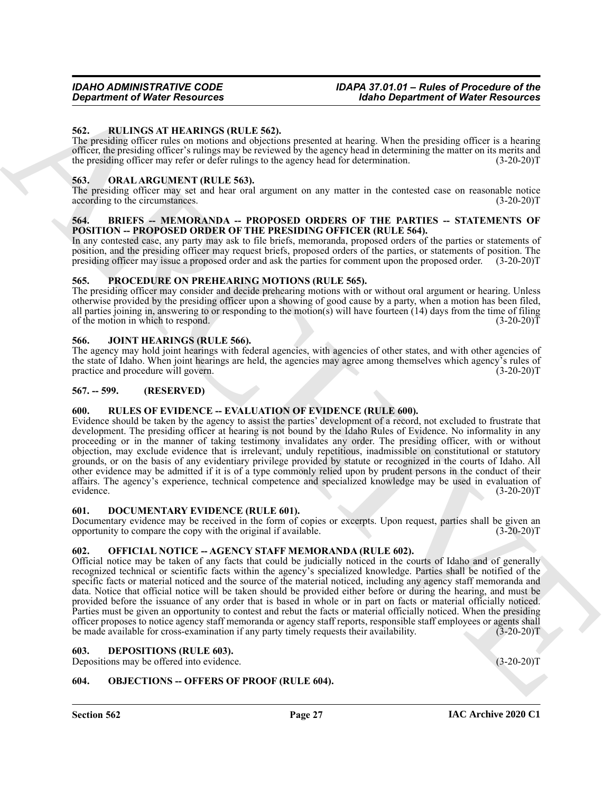#### <span id="page-26-20"></span><span id="page-26-0"></span>**562. RULINGS AT HEARINGS (RULE 562).**

The presiding officer rules on motions and objections presented at hearing. When the presiding officer is a hearing officer, the presiding officer's rulings may be reviewed by the agency head in determining the matter on its merits and the presiding officer may refer or defer rulings to the agency head for determination. (3-20-20)T

#### <span id="page-26-17"></span><span id="page-26-1"></span>**563. ORAL ARGUMENT (RULE 563).**

The presiding officer may set and hear oral argument on any matter in the contested case on reasonable notice according to the circumstances. (3-20-20)T

#### <span id="page-26-11"></span><span id="page-26-2"></span>**564. BRIEFS -- MEMORANDA -- PROPOSED ORDERS OF THE PARTIES -- STATEMENTS OF POSITION -- PROPOSED ORDER OF THE PRESIDING OFFICER (RULE 564).**

In any contested case, any party may ask to file briefs, memoranda, proposed orders of the parties or statements of position, and the presiding officer may request briefs, proposed orders of the parties, or statements of position. The presiding officer may issue a proposed order and ask the parties for comment upon the proposed order. (3-20-20)T

#### <span id="page-26-18"></span><span id="page-26-3"></span>**565. PROCEDURE ON PREHEARING MOTIONS (RULE 565).**

The presiding officer may consider and decide prehearing motions with or without oral argument or hearing. Unless otherwise provided by the presiding officer upon a showing of good cause by a party, when a motion has been filed, all parties joining in, answering to or responding to the motion(s) will have fourteen  $(14)$  days from the time of filing of the motion in which to respond. (3-20-20)T

#### <span id="page-26-14"></span><span id="page-26-4"></span>**566. JOINT HEARINGS (RULE 566).**

The agency may hold joint hearings with federal agencies, with agencies of other states, and with other agencies of the state of Idaho. When joint hearings are held, the agencies may agree among themselves which agency's rules of practice and procedure will govern. (3-20-20)T practice and procedure will govern.

#### <span id="page-26-5"></span>**567. -- 599. (RESERVED)**

# <span id="page-26-19"></span><span id="page-26-6"></span>**600. RULES OF EVIDENCE -- EVALUATION OF EVIDENCE (RULE 600).**

**Sometimes of Water Resources** (1992) and the space and the space interest in the space of Water Resources (1992) and the space of the space of the space of the space of the space of the space of the space of the space of Evidence should be taken by the agency to assist the parties' development of a record, not excluded to frustrate that development. The presiding officer at hearing is not bound by the Idaho Rules of Evidence. No informality in any proceeding or in the manner of taking testimony invalidates any order. The presiding officer, with or without objection, may exclude evidence that is irrelevant, unduly repetitious, inadmissible on constitutional or statutory grounds, or on the basis of any evidentiary privilege provided by statute or recognized in the courts of Idaho. All other evidence may be admitted if it is of a type commonly relied upon by prudent persons in the conduct of their affairs. The agency's experience, technical competence and specialized knowledge may be used in evaluation of evidence. (3-20-20)T

#### <span id="page-26-13"></span><span id="page-26-7"></span>**601. DOCUMENTARY EVIDENCE (RULE 601).**

Documentary evidence may be received in the form of copies or excerpts. Upon request, parties shall be given an opportunity to compare the copy with the original if available. (3-20-20)T

# <span id="page-26-16"></span><span id="page-26-8"></span>**602. OFFICIAL NOTICE -- AGENCY STAFF MEMORANDA (RULE 602).**

Official notice may be taken of any facts that could be judicially noticed in the courts of Idaho and of generally recognized technical or scientific facts within the agency's specialized knowledge. Parties shall be notified of the specific facts or material noticed and the source of the material noticed, including any agency staff memoranda and data. Notice that official notice will be taken should be provided either before or during the hearing, and must be provided before the issuance of any order that is based in whole or in part on facts or material officially noticed. Parties must be given an opportunity to contest and rebut the facts or material officially noticed. When the presiding officer proposes to notice agency staff memoranda or agency staff reports, responsible staff employees or agents shall be made available for cross-examination if any party timely requests their availability. (3-20-20)T

#### <span id="page-26-12"></span><span id="page-26-9"></span>**603. DEPOSITIONS (RULE 603).**

Depositions may be offered into evidence. (3-20-20)T

# <span id="page-26-15"></span><span id="page-26-10"></span>**604. OBJECTIONS -- OFFERS OF PROOF (RULE 604).**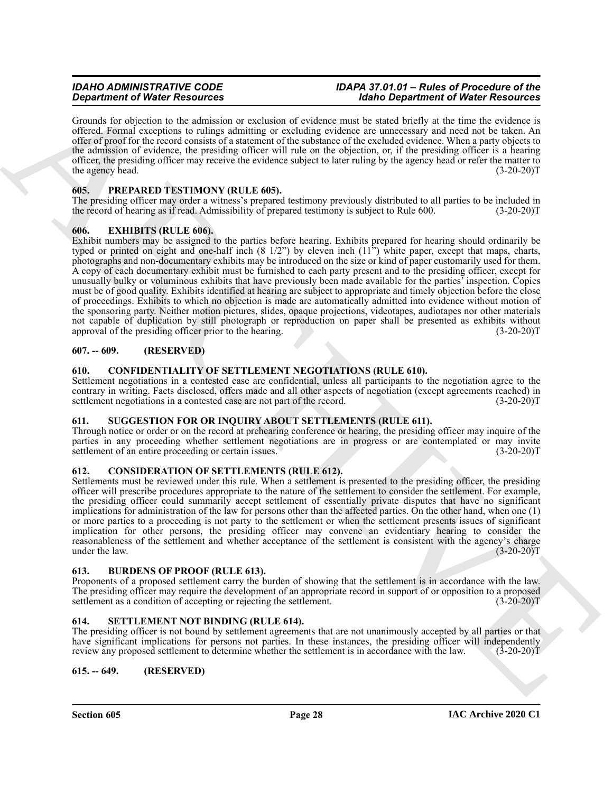Grounds for objection to the admission or exclusion of evidence must be stated briefly at the time the evidence is offered. Formal exceptions to rulings admitting or excluding evidence are unnecessary and need not be taken. An offer of proof for the record consists of a statement of the substance of the excluded evidence. When a party objects to the admission of evidence, the presiding officer will rule on the objection, or, if the presiding officer is a hearing officer, the presiding officer may receive the evidence subject to later ruling by the agency head or refer the matter to the agency head. (3-20-20)T (3-20-20)T

# <span id="page-27-13"></span><span id="page-27-0"></span>**605. PREPARED TESTIMONY (RULE 605).**

The presiding officer may order a witness's prepared testimony previously distributed to all parties to be included in the record of hearing as if read. Admissibility of prepared testimony is subject to Rule 600. (3-20-20)T

# <span id="page-27-12"></span><span id="page-27-1"></span>**606. EXHIBITS (RULE 606).**

**Operation of Water Securities** and stationary that the big the *Chinese Contention* of Water Resources of the stationary of the *Chinese Contention* of Water Resources of the *Chinese Contention* of the *Chinese Contenti* Exhibit numbers may be assigned to the parties before hearing. Exhibits prepared for hearing should ordinarily be typed or printed on eight and one-half inch  $(8 \frac{1}{2})$  by eleven inch  $(11)$ <sup>\*</sup>) white paper, except that maps, charts, photographs and non-documentary exhibits may be introduced on the size or kind of paper customarily used for them. A copy of each documentary exhibit must be furnished to each party present and to the presiding officer, except for unusually bulky or voluminous exhibits that have previously been made available for the parties' inspection. Copies must be of good quality. Exhibits identified at hearing are subject to appropriate and timely objection before the close of proceedings. Exhibits to which no objection is made are automatically admitted into evidence without motion of the sponsoring party. Neither motion pictures, slides, opaque projections, videotapes, audiotapes nor other materials not capable of duplication by still photograph or reproduction on paper shall be presented as exhibits without approval of the presiding officer prior to the hearing. (3-20-20) approval of the presiding officer prior to the hearing.

# <span id="page-27-2"></span>**607. -- 609. (RESERVED)**

# <span id="page-27-10"></span><span id="page-27-3"></span>**610. CONFIDENTIALITY OF SETTLEMENT NEGOTIATIONS (RULE 610).**

Settlement negotiations in a contested case are confidential, unless all participants to the negotiation agree to the contrary in writing. Facts disclosed, offers made and all other aspects of negotiation (except agreements reached) in settlement negotiations in a contested case are not part of the record. (3-20-20)T

# <span id="page-27-15"></span><span id="page-27-4"></span>**611. SUGGESTION FOR OR INQUIRY ABOUT SETTLEMENTS (RULE 611).**

Through notice or order or on the record at prehearing conference or hearing, the presiding officer may inquire of the parties in any proceeding whether settlement negotiations are in progress or are contemplated or may invite settlement of an entire proceeding or certain issues. (3-20-20) settlement of an entire proceeding or certain issues.

# <span id="page-27-11"></span><span id="page-27-5"></span>**612. CONSIDERATION OF SETTLEMENTS (RULE 612).**

Settlements must be reviewed under this rule. When a settlement is presented to the presiding officer, the presiding officer will prescribe procedures appropriate to the nature of the settlement to consider the settlement. For example, the presiding officer could summarily accept settlement of essentially private disputes that have no significant implications for administration of the law for persons other than the affected parties. On the other hand, when one (1) or more parties to a proceeding is not party to the settlement or when the settlement presents issues of significant implication for other persons, the presiding officer may convene an evidentiary hearing to consider the reasonableness of the settlement and whether acceptance of the settlement is consistent with the agency's charge under the law. (3-20-20)T under the law.

#### <span id="page-27-9"></span><span id="page-27-6"></span>**613. BURDENS OF PROOF (RULE 613).**

Proponents of a proposed settlement carry the burden of showing that the settlement is in accordance with the law. The presiding officer may require the development of an appropriate record in support of or opposition to a proposed settlement as a condition of accepting or rejecting the settlement. (3-20-20) settlement as a condition of accepting or rejecting the settlement.

# <span id="page-27-14"></span><span id="page-27-7"></span>**614. SETTLEMENT NOT BINDING (RULE 614).**

The presiding officer is not bound by settlement agreements that are not unanimously accepted by all parties or that have significant implications for persons not parties. In these instances, the presiding officer will independently review any proposed settlement to determine whether the settlement is in accordance with the law. (3-20-20)T

#### <span id="page-27-8"></span>**615. -- 649. (RESERVED)**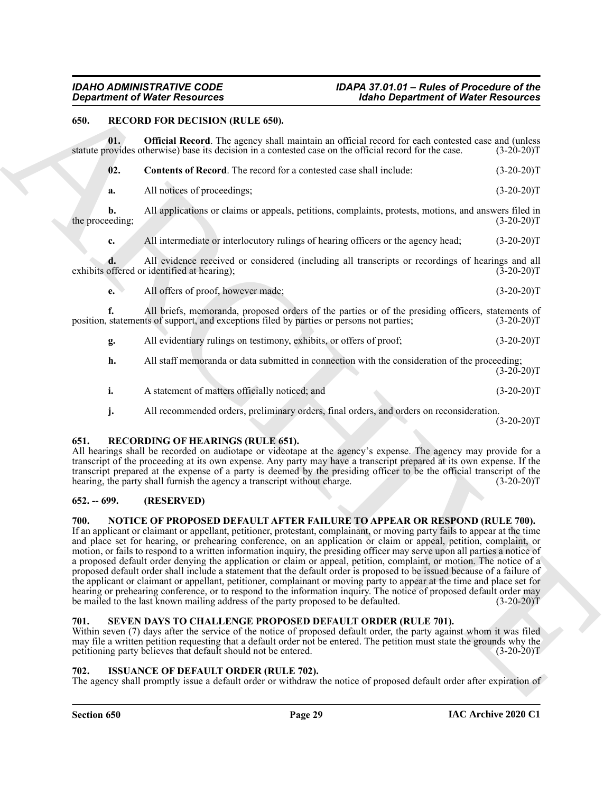# <span id="page-28-8"></span><span id="page-28-0"></span>**650. RECORD FOR DECISION (RULE 650).**

<span id="page-28-10"></span>**01. Official Record**. The agency shall maintain an official record for each contested case and (unless statute provides otherwise) base its decision in a contested case on the official record for the case. (3-20-20)T

<span id="page-28-9"></span>

|                 | 02. | <b>Contents of Record.</b> The record for a contested case shall include:                             | $(3-20-20)T$ |
|-----------------|-----|-------------------------------------------------------------------------------------------------------|--------------|
|                 | a.  | All notices of proceedings;                                                                           | $(3-20-20)T$ |
| the proceeding; |     | All applications or claims or appeals, petitions, complaints, protests, motions, and answers filed in | $(3-20-20)T$ |

**c.** All intermediate or interlocutory rulings of hearing officers or the agency head; (3-20-20)T

**d.** All evidence received or considered (including all transcripts or recordings of hearings and all offered or identified at hearing); (3-20-20)<sup>T</sup> exhibits offered or identified at hearing);

**e.** All offers of proof, however made; (3-20-20)T

**f.** All briefs, memoranda, proposed orders of the parties or of the presiding officers, statements of position, statements of support, and exceptions filed by parties or persons not parties; (3-20-20)T

**g.** All evidentiary rulings on testimony, exhibits, or offers of proof; (3-20-20)T

| <b>h.</b> | All staff memoranda or data submitted in connection with the consideration of the proceeding: |              |
|-----------|-----------------------------------------------------------------------------------------------|--------------|
|           |                                                                                               | $(3-20-20)T$ |
|           | A statement of matters officially noticed; and                                                | $(3-20-20)T$ |

<span id="page-28-11"></span>**j.** All recommended orders, preliminary orders, final orders, and orders on reconsideration.

# <span id="page-28-1"></span>**651. RECORDING OF HEARINGS (RULE 651).**

All hearings shall be recorded on audiotape or videotape at the agency's expense. The agency may provide for a transcript of the proceeding at its own expense. Any party may have a transcript prepared at its own expense. If the transcript prepared at the expense of a party is deemed by the presiding officer to be the official transcript of the hearing, the party shall furnish the agency a transcript without charge. (3-20-20) hearing, the party shall furnish the agency a transcript without charge.

# <span id="page-28-2"></span>**652. -- 699. (RESERVED)**

# <span id="page-28-7"></span><span id="page-28-3"></span>**700. NOTICE OF PROPOSED DEFAULT AFTER FAILURE TO APPEAR OR RESPOND (RULE 700).**

**Equivalent of Water Resources**<br> **EQUIVARY Resources**<br> **EQUIVARY Resources**<br> **EQUIVARY Resources**<br> **EQUIVARY RESOURCE (SON)**<br> **EQUIVARY RESOURCE (SON)**<br> **EQUIVARY RESOURCE (SON)**<br> **EQUIVARY RESOURCE THE PROPERTIES CONSULT** If an applicant or claimant or appellant, petitioner, protestant, complainant, or moving party fails to appear at the time and place set for hearing, or prehearing conference, on an application or claim or appeal, petition, complaint, or motion, or fails to respond to a written information inquiry, the presiding officer may serve upon all parties a notice of a proposed default order denying the application or claim or appeal, petition, complaint, or motion. The notice of a proposed default order shall include a statement that the default order is proposed to be issued because of a failure of the applicant or claimant or appellant, petitioner, complainant or moving party to appear at the time and place set for hearing or prehearing conference, or to respond to the information inquiry. The notice of proposed default order may be mailed to the last known mailing address of the party proposed to be defaulted. (3-20-20)T

# <span id="page-28-12"></span><span id="page-28-4"></span>**701. SEVEN DAYS TO CHALLENGE PROPOSED DEFAULT ORDER (RULE 701).**

Within seven (7) days after the service of the notice of proposed default order, the party against whom it was filed may file a written petition requesting that a default order not be entered. The petition must state the grounds why the petitioning party believes that default should not be entered. (3-20-20)T

# <span id="page-28-6"></span><span id="page-28-5"></span>**702. ISSUANCE OF DEFAULT ORDER (RULE 702).**

The agency shall promptly issue a default order or withdraw the notice of proposed default order after expiration of

 $(3-20-20)T$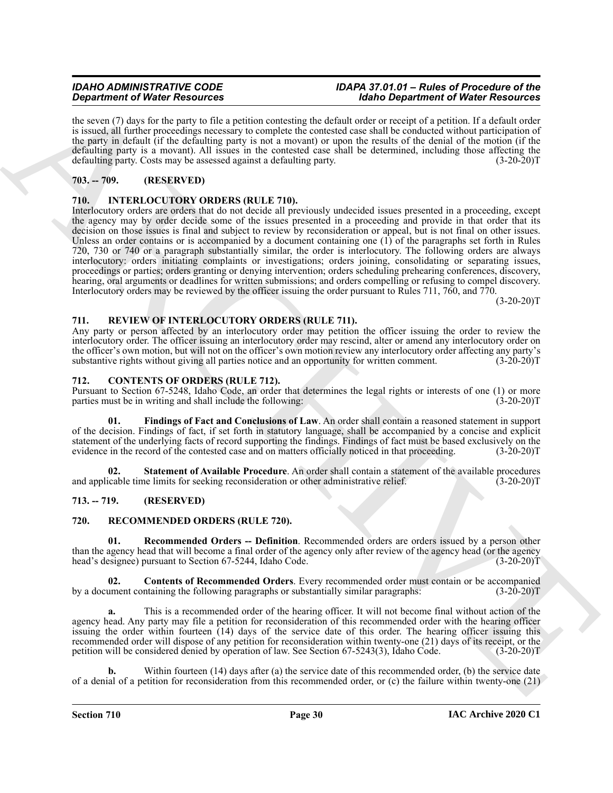the seven (7) days for the party to file a petition contesting the default order or receipt of a petition. If a default order is issued, all further proceedings necessary to complete the contested case shall be conducted without participation of the party in default (if the defaulting party is not a movant) or upon the results of the denial of the motion (if the defaulting party is a movant). All issues in the contested case shall be determined, including those affecting the defaulting party. Costs may be assessed against a defaulting party. (3-20-20)T

# <span id="page-29-0"></span>**703. -- 709. (RESERVED)**

# <span id="page-29-9"></span><span id="page-29-1"></span>**710. INTERLOCUTORY ORDERS (RULE 710).**

**Stationary Of Northern Stationary 1988** and the special order of the stationary 1988 and the special order of the special order of the special order of the special order of the special order of the special order of the s Interlocutory orders are orders that do not decide all previously undecided issues presented in a proceeding, except the agency may by order decide some of the issues presented in a proceeding and provide in that order that its decision on those issues is final and subject to review by reconsideration or appeal, but is not final on other issues. Unless an order contains or is accompanied by a document containing one (1) of the paragraphs set forth in Rules 720, 730 or 740 or a paragraph substantially similar, the order is interlocutory. The following orders are always interlocutory: orders initiating complaints or investigations; orders joining, consolidating or separating issues, proceedings or parties; orders granting or denying intervention; orders scheduling prehearing conferences, discovery, hearing, oral arguments or deadlines for written submissions; and orders compelling or refusing to compel discovery. Interlocutory orders may be reviewed by the officer issuing the order pursuant to Rules 711, 760, and 770.

 $(3-20-20)T$ 

#### <span id="page-29-13"></span><span id="page-29-2"></span>**711. REVIEW OF INTERLOCUTORY ORDERS (RULE 711).**

Any party or person affected by an interlocutory order may petition the officer issuing the order to review the interlocutory order. The officer issuing an interlocutory order may rescind, alter or amend any interlocutory order on the officer's own motion, but will not on the officer's own motion review any interlocutory order affecting any party's substantive rights without giving all parties notice and an opportunity for written comment.  $(3-20-20)T$ 

#### <span id="page-29-6"></span><span id="page-29-3"></span>**712. CONTENTS OF ORDERS (RULE 712).**

Pursuant to Section 67-5248, Idaho Code, an order that determines the legal rights or interests of one (1) or more parties must be in writing and shall include the following:

<span id="page-29-7"></span>**01. Findings of Fact and Conclusions of Law**. An order shall contain a reasoned statement in support of the decision. Findings of fact, if set forth in statutory language, shall be accompanied by a concise and explicit statement of the underlying facts of record supporting the findings. Findings of fact must be based exclusively on the evidence in the record of the contested case and on matters officially noticed in that proceeding. (3-20-20)T

<span id="page-29-8"></span>**02.** Statement of Available Procedure. An order shall contain a statement of the available procedures icable time limits for seeking reconsideration or other administrative relief. (3-20-20)<sup>T</sup> and applicable time limits for seeking reconsideration or other administrative relief.

# <span id="page-29-4"></span>**713. -- 719. (RESERVED)**

# <span id="page-29-10"></span><span id="page-29-5"></span>**720. RECOMMENDED ORDERS (RULE 720).**

<span id="page-29-12"></span>**01. Recommended Orders -- Definition**. Recommended orders are orders issued by a person other than the agency head that will become a final order of the agency only after review of the agency head (or the agency head's designee) pursuant to Section 67-5244, Idaho Code. (3-20-20)T

<span id="page-29-11"></span>**02. Contents of Recommended Orders**. Every recommended order must contain or be accompanied by a document containing the following paragraphs or substantially similar paragraphs: (3-20-20)T

**a.** This is a recommended order of the hearing officer. It will not become final without action of the agency head. Any party may file a petition for reconsideration of this recommended order with the hearing officer issuing the order within fourteen (14) days of the service date of this order. The hearing officer issuing this recommended order will dispose of any petition for reconsideration within twenty-one (21) days of its receipt, or the petition will be considered denied by operation of law. See Section 67-5243(3), Idaho Code. (3-20-20)T

Within fourteen (14) days after (a) the service date of this recommended order, (b) the service date of a denial of a petition for reconsideration from this recommended order, or (c) the failure within twenty-one  $(21)$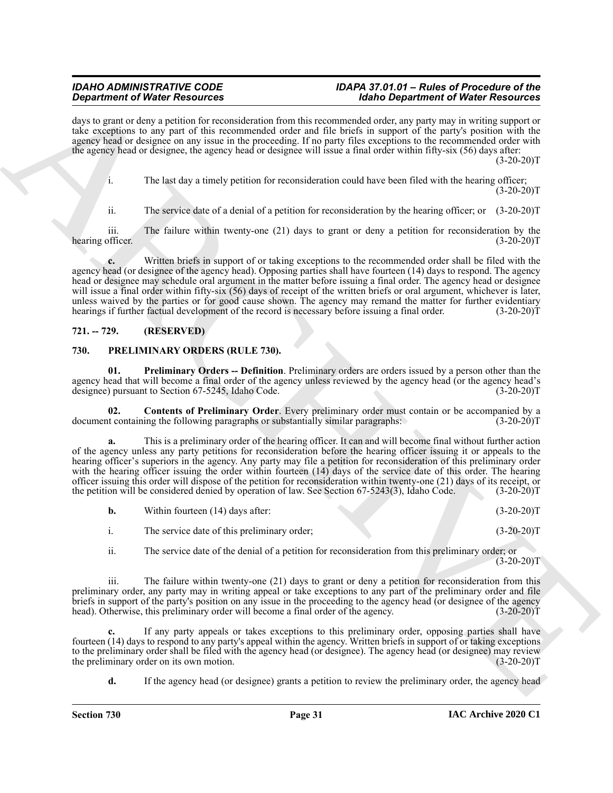days to grant or deny a petition for reconsideration from this recommended order, any party may in writing support or take exceptions to any part of this recommended order and file briefs in support of the party's position with the agency head or designee on any issue in the proceeding. If no party files exceptions to the recommended order with the agency head or designee, the agency head or designee will issue a final order within fifty-six (56) days after:  $(3-20-20)T$ 

i. The last day a timely petition for reconsideration could have been filed with the hearing officer;  $(3-20-20)T$ 

ii. The service date of a denial of a petition for reconsideration by the hearing officer; or (3-20-20)T

iii. The failure within twenty-one (21) days to grant or deny a petition for reconsideration by the officer.  $(3-20-20)T$ hearing officer.

**c.** Written briefs in support of or taking exceptions to the recommended order shall be filed with the agency head (or designee of the agency head). Opposing parties shall have fourteen (14) days to respond. The agency head or designee may schedule oral argument in the matter before issuing a final order. The agency head or designee will issue a final order within fifty-six (56) days of receipt of the written briefs or oral argument, whichever is later, unless waived by the parties or for good cause shown. The agency may remand the matter for further evidentiary hearings if further factual development of the record is necessary before issuing a final order. (3-20-20)T

# <span id="page-30-0"></span>**721. -- 729. (RESERVED)**

#### <span id="page-30-2"></span><span id="page-30-1"></span>**730. PRELIMINARY ORDERS (RULE 730).**

<span id="page-30-4"></span>**01. Preliminary Orders -- Definition**. Preliminary orders are orders issued by a person other than the agency head that will become a final order of the agency unless reviewed by the agency head (or the agency head's designee) pursuant to Section 67-5245, Idaho Code. (3-20-20)T designee) pursuant to Section 67-5245, Idaho Code.

<span id="page-30-3"></span>**02. Contents of Preliminary Order**. Every preliminary order must contain or be accompanied by a t containing the following paragraphs or substantially similar paragraphs: (3-20-20) document containing the following paragraphs or substantially similar paragraphs:

**Signal from the Vietnesse of the stresses of the stresses of the stresses of the stresses of the stresses of the stresses of the stresses of the stresses of the stresses of the stresses of the stresses of the stresses of a.** This is a preliminary order of the hearing officer. It can and will become final without further action of the agency unless any party petitions for reconsideration before the hearing officer issuing it or appeals to the hearing officer's superiors in the agency. Any party may file a petition for reconsideration of this preliminary order with the hearing officer issuing the order within fourteen (14) days of the service date of this order. The hearing officer issuing this order will dispose of the petition for reconsideration within twenty-one (21) days of its receipt, or the petition will be considered denied by operation of law. See Section 67-5243(3), Idaho Code. (3-20-20)T

| Within fourteen (14) days after:            | $(3-20-20)T$ |
|---------------------------------------------|--------------|
| The service date of this preliminary order: | $(3-20-20)T$ |

ii. The service date of the denial of a petition for reconsideration from this preliminary order; or  $(3-20-20)T$ 

iii. The failure within twenty-one (21) days to grant or deny a petition for reconsideration from this preliminary order, any party may in writing appeal or take exceptions to any part of the preliminary order and file briefs in support of the party's position on any issue in the proceeding to the agency head (or designee of the agency head). Otherwise, this preliminary order will become a final order of the agency. (3-20-20)<sup>T</sup> head). Otherwise, this preliminary order will become a final order of the agency.

**c.** If any party appeals or takes exceptions to this preliminary order, opposing parties shall have fourteen (14) days to respond to any party's appeal within the agency. Written briefs in support of or taking exceptions to the preliminary order shall be filed with the agency head (or designee). The agency head (or designee) may review<br>the preliminary order on its own motion. (3-20-20) the preliminary order on its own motion.

**d.** If the agency head (or designee) grants a petition to review the preliminary order, the agency head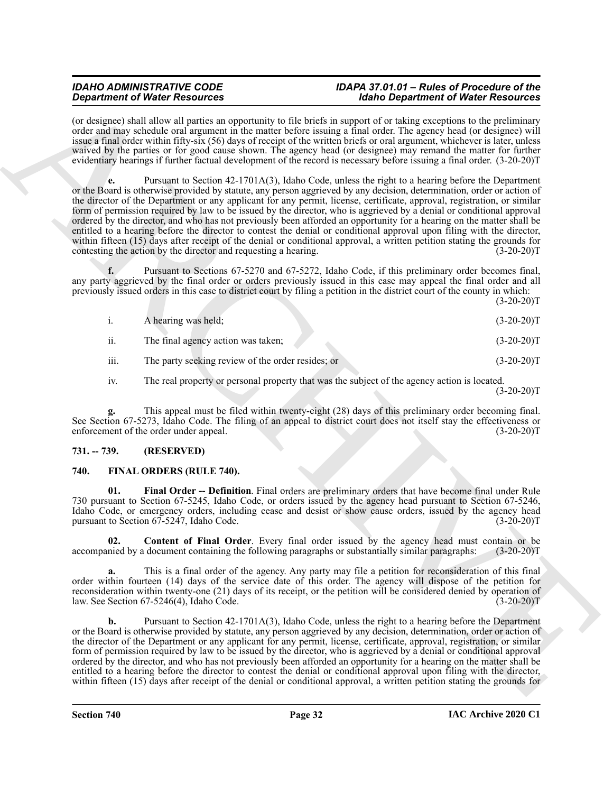(or designee) shall allow all parties an opportunity to file briefs in support of or taking exceptions to the preliminary order and may schedule oral argument in the matter before issuing a final order. The agency head (or designee) will issue a final order within fifty-six (56) days of receipt of the written briefs or oral argument, whichever is later, unless waived by the parties or for good cause shown. The agency head (or designee) may remand the matter for further evidentiary hearings if further factual development of the record is necessary before issuing a final order. (3-20-20)T

**Stationer of Water Securities** with the stationer the station of Securities in the stationary interaction of Water Research in the stationary of the stationary interaction of Water Research in the stationary interaction **e.** Pursuant to Section 42-1701A(3), Idaho Code, unless the right to a hearing before the Department or the Board is otherwise provided by statute, any person aggrieved by any decision, determination, order or action of the director of the Department or any applicant for any permit, license, certificate, approval, registration, or similar form of permission required by law to be issued by the director, who is aggrieved by a denial or conditional approval ordered by the director, and who has not previously been afforded an opportunity for a hearing on the matter shall be entitled to a hearing before the director to contest the denial or conditional approval upon filing with the director, within fifteen (15) days after receipt of the denial or conditional approval, a written petition stating the grounds for contesting the action by the director and requesting a hearing. (3-20-20)T

**f.** Pursuant to Sections 67-5270 and 67-5272, Idaho Code, if this preliminary order becomes final, any party aggrieved by the final order or orders previously issued in this case may appeal the final order and all previously issued orders in this case to district court by filing a petition in the district court of the county in which:

 $(3-20-20)T$ 

|      | A hearing was held;                               | $(3-20-20)T$ |
|------|---------------------------------------------------|--------------|
| 11.  | The final agency action was taken;                | $(3-20-20)T$ |
| iii. | The party seeking review of the order resides; or | $(3-20-20)T$ |

iv. The real property or personal property that was the subject of the agency action is located.  $(3-20-20)T$ 

**g.** This appeal must be filed within twenty-eight (28) days of this preliminary order becoming final. See Section 67-5273, Idaho Code. The filing of an appeal to district court does not itself stay the effectiveness or enforcement of the order under appeal. (3-20-20)T

# <span id="page-31-0"></span>**731. -- 739. (RESERVED)**

# <span id="page-31-2"></span><span id="page-31-1"></span>**740. FINAL ORDERS (RULE 740).**

<span id="page-31-4"></span>**01. Final Order -- Definition**. Final orders are preliminary orders that have become final under Rule 730 pursuant to Section 67-5245, Idaho Code, or orders issued by the agency head pursuant to Section 67-5246, Idaho Code, or emergency orders, including cease and desist or show cause orders, issued by the agency head pursuant to Section 67-5247, Idaho Code. (3-20-20) pursuant to Section  $67-5247$ , Idaho Code.

<span id="page-31-3"></span>**02. Content of Final Order**. Every final order issued by the agency head must contain or be nied by a document containing the following paragraphs or substantially similar paragraphs: (3-20-20) accompanied by a document containing the following paragraphs or substantially similar paragraphs:

**a.** This is a final order of the agency. Any party may file a petition for reconsideration of this final order within fourteen (14) days of the service date of this order. The agency will dispose of the petition for reconsideration within twenty-one (21) days of its receipt, or the petition will be considered denied by operation of law. See Section 67-5246(4), Idaho Code. (3-20-20) law. See Section  $67-5246(4)$ , Idaho Code.

**b.** Pursuant to Section 42-1701A(3), Idaho Code, unless the right to a hearing before the Department or the Board is otherwise provided by statute, any person aggrieved by any decision, determination, order or action of the director of the Department or any applicant for any permit, license, certificate, approval, registration, or similar form of permission required by law to be issued by the director, who is aggrieved by a denial or conditional approval ordered by the director, and who has not previously been afforded an opportunity for a hearing on the matter shall be entitled to a hearing before the director to contest the denial or conditional approval upon filing with the director, within fifteen (15) days after receipt of the denial or conditional approval, a written petition stating the grounds for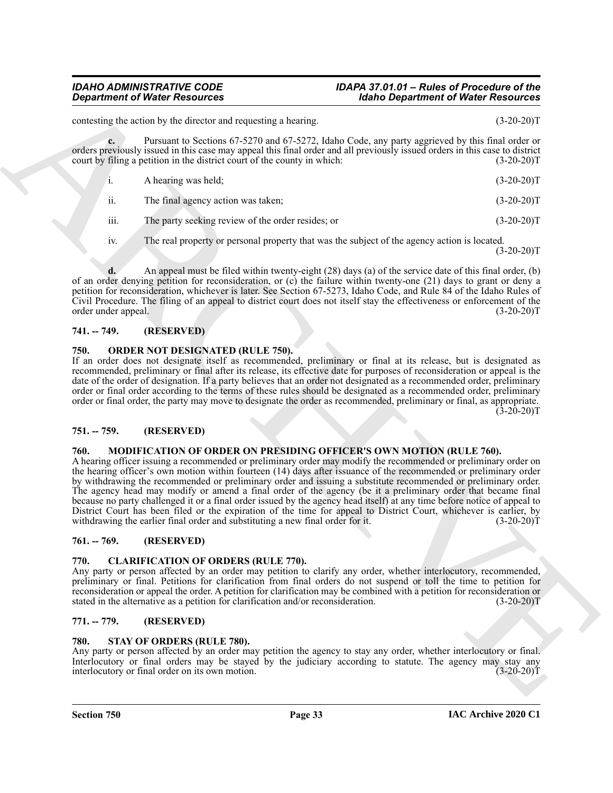**c.** Pursuant to Sections 67-5270 and 67-5272, Idaho Code, any party aggrieved by this final order or orders previously issued in this case may appeal this final order and all previously issued orders in this case to district court by filing a petition in the district court of the county in which: (3-20-20)T i. A hearing was held; (3-20-20)T ii. The final agency action was taken; (3-20-20)T

contesting the action by the director and requesting a hearing. (3-20-20)T

iii. The party seeking review of the order resides; or (3-20-20)T

iv. The real property or personal property that was the subject of the agency action is located.  $(3-20-20)T$ 

**d.** An appeal must be filed within twenty-eight (28) days (a) of the service date of this final order, (b) of an order denying petition for reconsideration, or (c) the failure within twenty-one (21) days to grant or deny a petition for reconsideration, whichever is later. See Section 67-5273, Idaho Code, and Rule 84 of the Idaho Rules of Civil Procedure. The filing of an appeal to district court does not itself stay the effectiveness or enforcement of the order under appeal. (3-20-20)T

# <span id="page-32-0"></span>**741. -- 749. (RESERVED)**

#### <span id="page-32-10"></span><span id="page-32-1"></span>**750. ORDER NOT DESIGNATED (RULE 750).**

If an order does not designate itself as recommended, preliminary or final at its release, but is designated as recommended, preliminary or final after its release, its effective date for purposes of reconsideration or appeal is the date of the order of designation. If a party believes that an order not designated as a recommended order, preliminary order or final order according to the terms of these rules should be designated as a recommended order, preliminary order or final order, the party may move to designate the order as recommended, preliminary or final, as appropriate.  $(3-20-20)T$ 

# <span id="page-32-2"></span>**751. -- 759. (RESERVED)**

#### <span id="page-32-9"></span><span id="page-32-3"></span>**760. MODIFICATION OF ORDER ON PRESIDING OFFICER'S OWN MOTION (RULE 760).**

**Construent of Weise Resources**<br>
Scholar Resources<br>
Scholar Resources<br>
Scholar Resources<br>
Scholar Resources<br>
Scholar Resources<br>
Scholar Resources<br>
Scholar Resources<br>
Scholar Resources<br>
Scholar Resources<br>
Scholar Resources A hearing officer issuing a recommended or preliminary order may modify the recommended or preliminary order on the hearing officer's own motion within fourteen (14) days after issuance of the recommended or preliminary order by withdrawing the recommended or preliminary order and issuing a substitute recommended or preliminary order. The agency head may modify or amend a final order of the agency (be it a preliminary order that became final because no party challenged it or a final order issued by the agency head itself) at any time before notice of appeal to District Court has been filed or the expiration of the time for appeal to District Court, whichever is earlier, by withdrawing the earlier final order and substituting a new final order for it. (3-20-20)<sup>T</sup>

# <span id="page-32-4"></span>**761. -- 769. (RESERVED)**

# <span id="page-32-8"></span><span id="page-32-5"></span>**770. CLARIFICATION OF ORDERS (RULE 770).**

Any party or person affected by an order may petition to clarify any order, whether interlocutory, recommended, preliminary or final. Petitions for clarification from final orders do not suspend or toll the time to petition for reconsideration or appeal the order. A petition for clarification may be combined with a petition for reconsideration or stated in the alternative as a petition for clarification and/or reconsideration. (3-20-20)T

# <span id="page-32-6"></span>**771. -- 779. (RESERVED)**

#### <span id="page-32-11"></span><span id="page-32-7"></span>**780. STAY OF ORDERS (RULE 780).**

Any party or person affected by an order may petition the agency to stay any order, whether interlocutory or final. Interlocutory or final orders may be stayed by the judiciary according to statute. The agency may stay any interlocutory or final order on its own motion. (3-20-20)T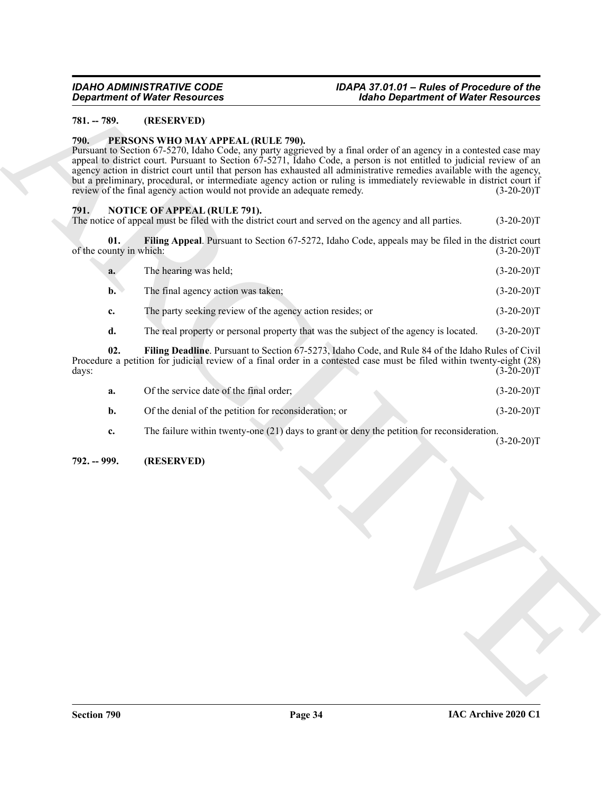### <span id="page-33-0"></span>**781. -- 789. (RESERVED)**

#### <span id="page-33-7"></span><span id="page-33-1"></span>**790. PERSONS WHO MAY APPEAL (RULE 790).**

**Equation of Water Resources**<br>
TH. 1990. **ARCHIVES ARCHIVES**<br>
THE SECTION HAND INTO THE THIS CONFIDENT CONTINUES TO THE SECTION OF THE SECTION OF THE SECTION OF THE SECTION OF THE SECTION OF THE SECTION OF THE SECTION OF Pursuant to Section 67-5270, Idaho Code, any party aggrieved by a final order of an agency in a contested case may appeal to district court. Pursuant to Section 67-5271, Idaho Code, a person is not entitled to judicial review of an agency action in district court until that person has exhausted all administrative remedies available with the agency, but a preliminary, procedural, or intermediate agency action or ruling is immediately reviewable in district court if review of the final agency action would not provide an adequate remedy. (3-20-20) review of the final agency action would not provide an adequate remedy.

#### <span id="page-33-4"></span><span id="page-33-2"></span>**791. NOTICE OF APPEAL (RULE 791).**

The notice of appeal must be filed with the district court and served on the agency and all parties. (3-20-20)T

**01. Filing Appeal**. Pursuant to Section 67-5272, Idaho Code, appeals may be filed in the district court of the county in which:  $(3-20-20)T$ 

<span id="page-33-5"></span>

| <b>a.</b> | The hearing was held;              | $(3-20-20)T$ |
|-----------|------------------------------------|--------------|
| b.        | The final agency action was taken; | $(3-20-20)T$ |
|           | --                                 | . <u>.</u>   |

- **c.** The party seeking review of the agency action resides; or (3-20-20)T
- <span id="page-33-6"></span>**d.** The real property or personal property that was the subject of the agency is located. (3-20-20)T

**02. Filing Deadline**. Pursuant to Section 67-5273, Idaho Code, and Rule 84 of the Idaho Rules of Civil Procedure a petition for judicial review of a final order in a contested case must be filed within twenty-eight (28) days: (3-20-20)T

| Of the service date of the final order;               | $(3-20-20)T$ |
|-------------------------------------------------------|--------------|
| Of the denial of the petition for reconsideration; or | $(3-20-20)T$ |

**c.** The failure within twenty-one (21) days to grant or deny the petition for reconsideration.  $(3-20-20)T$ 

#### <span id="page-33-3"></span>**792. -- 999. (RESERVED)**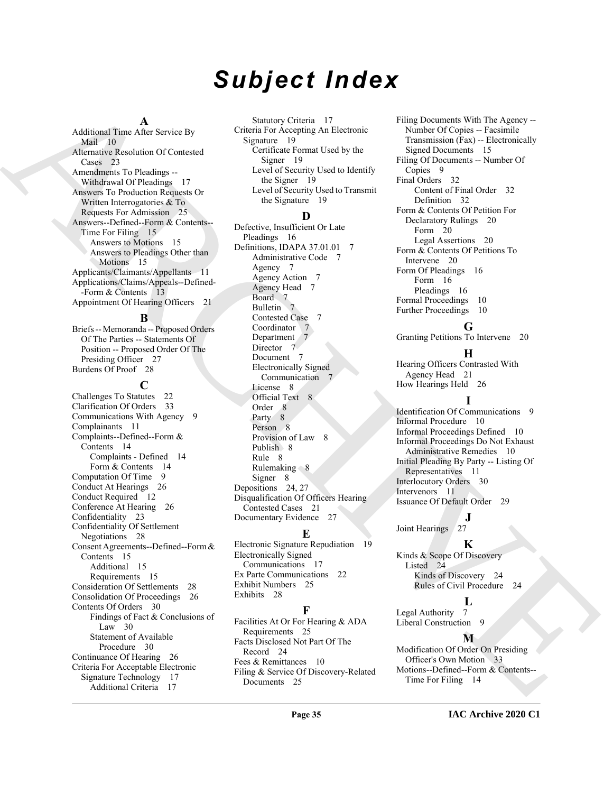# *Subject Index*

#### **A**

Additional Time After Service By Mail 10 Alternative Resolution Of Contested Cases 23 Amendments To Pleadings -- Withdrawal Of Pleadings 17 Answers To Production Requests Or Written Interrogatories & To Requests For Admission 25 Answers--Defined--Form & Contents-- Time For Filing 15 Answers to Motions 15 Answers to Pleadings Other than Motions 15 Applicants/Claimants/Appellants 11 Applications/Claims/Appeals--Defined- -Form & Contents 13 Appointment Of Hearing Officers 21

#### **B**

Briefs -- Memoranda -- Proposed Orders Of The Parties -- Statements Of Position -- Proposed Order Of The Presiding Officer 27 Burdens Of Proof 28

#### **C**

Address of American Space of the Second Minimized [C](#page-26-11)ontrol of the Control of the Second Minimized Control of the Second Minimized Control of the Second Minimized Control of the Second Minimized Control of the Second Minimi Challenges To Statutes 22 Clarification Of Orders 33 Communications With Agency 9 Complainants 11 Complaints--Defined--Form & Contents 14 Complaints - Defined 14 Form & Contents 14 Computation Of Time 9 Conduct At Hearings 26 Conduct Required 12 Conference At Hearing 26 Confidentiality 23 Confidentiality Of Settlement Negotiations 28 Consent Agreements--Defined--Form & Contents 15 Additional 15 Requirements 15 Consideration Of Settlements 28 Consolidation Of Proceedings 26 Contents Of Orders 30 Findings of Fact & Conclusions of Law 30 Statement of Available Procedure 30 Continuance Of Hearing 26 Criteria For Acceptable Electronic Signature Technology 17 Additional Criteria 17

Statutory Criteria 17 Criteria For Accepting An Electronic Signature 19 Certificate Format Used by the Signer 19 Level of Security Used to Identify the Signer 19 Level of Security Used to Transmit the Signature 19

#### **D**

Defective, Insufficient Or Late Pleadings 16 Definitions, IDAPA 37.01.01 7 Administrative Code 7 Agency 7 Agency Action 7 Agency Head 7 Board 7 Bulletin 7 Contested Case 7 Coordinator Department 7 Director 7 Document 7 Electronically Signed Communication 7 License 8 Official Text 8 Order 8 Party 8 Person 8 Provision of Law 8 Publish 8 Rule 8 Rulemaking  $8$ Signer 8 Depositions 24, 27 Disqualification Of Officers Hearing Contested Cases 21 Documentary Evidence 27

# **E**

Electronic Signature Repudiation 19 Electronically Signed Communications 17 Ex Parte Communications 22 Exhibit Numbers 25 Exhibits 28

# **F**

Facilities At Or For Hearing & ADA Requirements 25 Facts Disclosed Not Part Of The Record 24 Fees & Remittances 10 Filing & Service Of Discovery-Related Documents 25

Filing Documents With The Agency -- Number Of Copies -- Facsimile Transmission (Fax) -- Electronically Signed Documents 15 Filing Of Documents -- Number Of Copies 9 Final Orders 32 Content of Final Order 32 Definition 32 Form & Contents Of Petition For Declaratory Rulings 20 Form 20 Legal Assertions 20 Form & Contents Of Petitions To Intervene 20 Form Of Pleadings 16 Form 16 Pleadings 16 Formal Proceedings 10 Further Proceedings 10

# **G**

Granting Petitions To Intervene 20

# **H**

Hearing Officers Contrasted With Agency Head 21 How Hearings Held 26

# **I**

Identification Of Communications 9 Informal Procedure 10 Informal Proceedings Defined 10 Informal Proceedings Do Not Exhaust Administrative Remedies 10 Initial Pleading By Party -- Listing Of Representatives 11 Interlocutory Orders 30 Intervenors 11 Issuance Of Default Order 29

# **J**

Joint Hearings 27

# **K**

Kinds & Scope Of Discovery Listed 24 Kinds of Discovery 24 Rules of Civil Procedure 24

Legal Authority 7 Liberal Construction 9

# **M**

**L**

Modification Of Order On Presiding Officer's Own Motion 33 Motions--Defined--Form & Contents-- Time For Filing 14